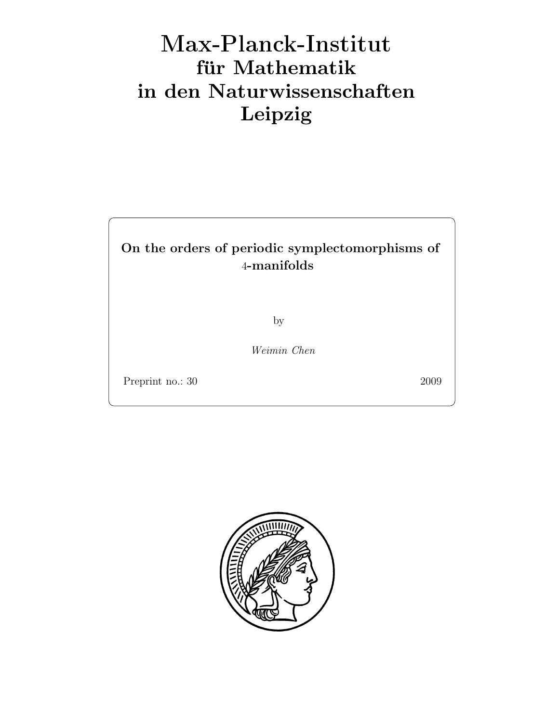# Max-Plan
k-Institut für Mathematik in den Naturwissenschaften Leipzig

# On the orders of periodic symplectomorphisms of 4-manifolds

by

Weimin Chen

Preprint no.: 30 2009

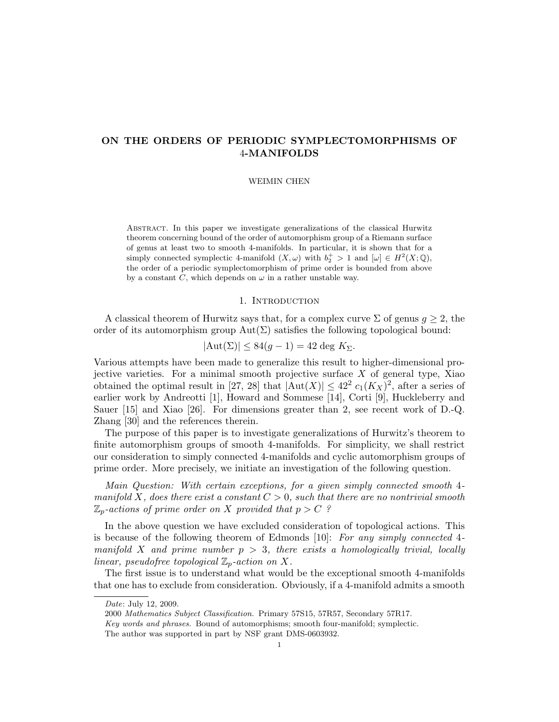# ON THE ORDERS OF PERIODIC SYMPLECTOMORPHISMS OF 4-MANIFOLDS

#### WEIMIN CHEN

Abstract. In this paper we investigate generalizations of the classical Hurwitz theorem concerning bound of the order of automorphism group of a Riemann surface of genus at least two to smooth 4-manifolds. In particular, it is shown that for a simply connected symplectic 4-manifold  $(X, \omega)$  with  $b_2^+ > 1$  and  $[\omega] \in H^2(X; \mathbb{Q}),$ the order of a periodic symplectomorphism of prime order is bounded from above by a constant C, which depends on  $\omega$  in a rather unstable way.

#### 1. Introduction

A classical theorem of Hurwitz says that, for a complex curve  $\Sigma$  of genus  $g \geq 2$ , the order of its automorphism group  $Aut(\Sigma)$  satisfies the following topological bound:

$$
|\mathrm{Aut}(\Sigma)| \leq 84(g-1) = 42 \deg K_{\Sigma}.
$$

Various attempts have been made to generalize this result to higher-dimensional projective varieties. For a minimal smooth projective surface X of general type, Xiao obtained the optimal result in [27, 28] that  $|\text{Aut}(X)| \leq 42^2 c_1 (K_X)^2$ , after a series of earlier work by Andreotti [1], Howard and Sommese [14], Corti [9], Huckleberry and Sauer [15] and Xiao [26]. For dimensions greater than 2, see recent work of D.-Q. Zhang [30] and the references therein.

The purpose of this paper is to investigate generalizations of Hurwitz's theorem to finite automorphism groups of smooth 4-manifolds. For simplicity, we shall restrict our consideration to simply connected 4-manifolds and cyclic automorphism groups of prime order. More precisely, we initiate an investigation of the following question.

Main Question: With certain exceptions, for a given simply connected smooth 4 manifold X, does there exist a constant  $C > 0$ , such that there are no nontrivial smooth  $\mathbb{Z}_p$ -actions of prime order on X provided that  $p > C$ ?

In the above question we have excluded consideration of topological actions. This is because of the following theorem of Edmonds [10]: For any simply connected 4 manifold X and prime number  $p > 3$ , there exists a homologically trivial, locally linear, pseudofree topological  $\mathbb{Z}_p$ -action on X.

The first issue is to understand what would be the exceptional smooth 4-manifolds that one has to exclude from consideration. Obviously, if a 4-manifold admits a smooth

Date: July 12, 2009.

<sup>2000</sup> Mathematics Subject Classification. Primary 57S15, 57R57, Secondary 57R17.

Key words and phrases. Bound of automorphisms; smooth four-manifold; symplectic.

The author was supported in part by NSF grant DMS-0603932.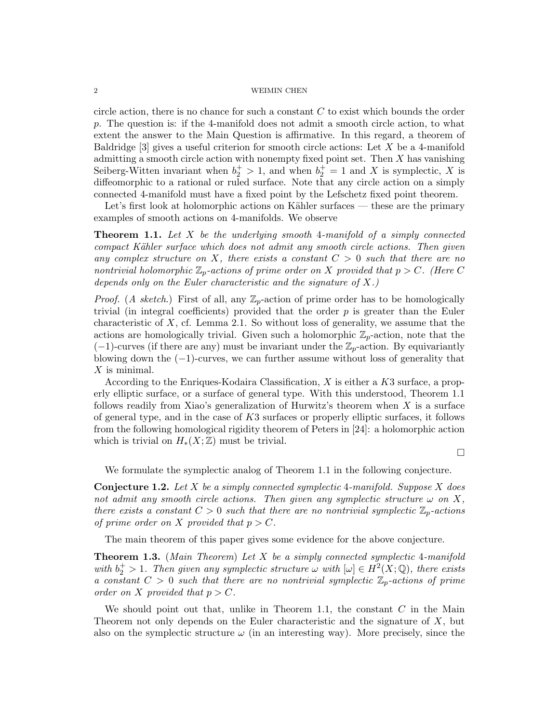#### $2\,$   $\,$   $\,$   $\,$   $\,$  WEIMIN CHEN  $\,$

circle action, there is no chance for such a constant  $C$  to exist which bounds the order p. The question is: if the 4-manifold does not admit a smooth circle action, to what extent the answer to the Main Question is affirmative. In this regard, a theorem of Baldridge  $[3]$  gives a useful criterion for smooth circle actions: Let X be a 4-manifold admitting a smooth circle action with nonempty fixed point set. Then X has vanishing Seiberg-Witten invariant when  $b_2^+ > 1$ , and when  $b_2^+ = 1$  and X is symplectic, X is diffeomorphic to a rational or ruled surface. Note that any circle action on a simply connected 4-manifold must have a fixed point by the Lefschetz fixed point theorem.

Let's first look at holomorphic actions on Kähler surfaces — these are the primary examples of smooth actions on 4-manifolds. We observe

**Theorem 1.1.** Let  $X$  be the underlying smooth 4-manifold of a simply connected compact Kähler surface which does not admit any smooth circle actions. Then given any complex structure on X, there exists a constant  $C > 0$  such that there are no nontrivial holomorphic  $\mathbb{Z}_p$ -actions of prime order on X provided that  $p > C$ . (Here C depends only on the Euler characteristic and the signature of  $X$ .)

*Proof.* (A sketch.) First of all, any  $\mathbb{Z}_p$ -action of prime order has to be homologically trivial (in integral coefficients) provided that the order  $p$  is greater than the Euler characteristic of  $X$ , cf. Lemma 2.1. So without loss of generality, we assume that the actions are homologically trivial. Given such a holomorphic  $\mathbb{Z}_p$ -action, note that the  $(-1)$ -curves (if there are any) must be invariant under the  $\mathbb{Z}_p$ -action. By equivariantly blowing down the  $(-1)$ -curves, we can further assume without loss of generality that  $X$  is minimal.

According to the Enriques-Kodaira Classification, X is either a K3 surface, a properly elliptic surface, or a surface of general type. With this understood, Theorem 1.1 follows readily from Xiao's generalization of Hurwitz's theorem when  $X$  is a surface of general type, and in the case of  $K3$  surfaces or properly elliptic surfaces, it follows from the following homological rigidity theorem of Peters in [24]: a holomorphic action which is trivial on  $H_*(X;\mathbb{Z})$  must be trivial.

 $\Box$ 

We formulate the symplectic analog of Theorem 1.1 in the following conjecture.

**Conjecture 1.2.** Let X be a simply connected symplectic 4-manifold. Suppose X does not admit any smooth circle actions. Then given any symplectic structure  $\omega$  on X, there exists a constant  $C > 0$  such that there are no nontrivial symplectic  $\mathbb{Z}_p$ -actions of prime order on X provided that  $p > C$ .

The main theorem of this paper gives some evidence for the above conjecture.

**Theorem 1.3.** (Main Theorem) Let X be a simply connected symplectic 4-manifold with  $b_2^+ > 1$ . Then given any symplectic structure  $\omega$  with  $[\omega] \in H^2(X; \mathbb{Q})$ , there exists a constant  $C > 0$  such that there are no nontrivial symplectic  $\mathbb{Z}_p$ -actions of prime order on X provided that  $p > C$ .

We should point out that, unlike in Theorem 1.1, the constant  $C$  in the Main Theorem not only depends on the Euler characteristic and the signature of  $X$ , but also on the symplectic structure  $\omega$  (in an interesting way). More precisely, since the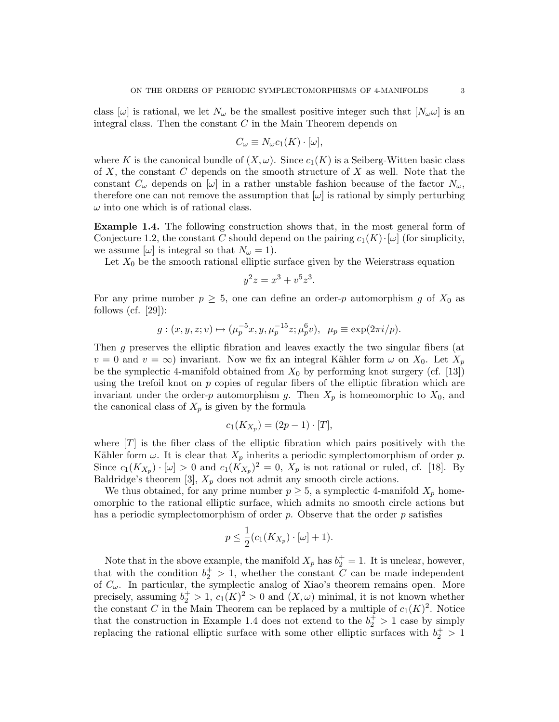class  $[\omega]$  is rational, we let  $N_{\omega}$  be the smallest positive integer such that  $[N_{\omega}\omega]$  is an integral class. Then the constant  $C$  in the Main Theorem depends on

$$
C_{\omega} \equiv N_{\omega} c_1(K) \cdot [\omega],
$$

where K is the canonical bundle of  $(X, \omega)$ . Since  $c_1(K)$  is a Seiberg-Witten basic class of X, the constant C depends on the smooth structure of X as well. Note that the constant  $C_{\omega}$  depends on  $[\omega]$  in a rather unstable fashion because of the factor  $N_{\omega}$ , therefore one can not remove the assumption that  $[\omega]$  is rational by simply perturbing  $\omega$  into one which is of rational class.

Example 1.4. The following construction shows that, in the most general form of Conjecture 1.2, the constant C should depend on the pairing  $c_1(K) \cdot [\omega]$  (for simplicity, we assume  $[\omega]$  is integral so that  $N_{\omega} = 1$ .

Let  $X_0$  be the smooth rational elliptic surface given by the Weierstrass equation

$$
y^2z = x^3 + v^5z^3.
$$

For any prime number  $p \geq 5$ , one can define an order-p automorphism g of  $X_0$  as follows (cf.  $[29]$ ):

$$
g: (x, y, z; v) \mapsto (\mu_p^{-5}x, y, \mu_p^{-15}z; \mu_p^{6}v), \ \mu_p \equiv \exp(2\pi i/p).
$$

Then g preserves the elliptic fibration and leaves exactly the two singular fibers (at  $v = 0$  and  $v = \infty$ ) invariant. Now we fix an integral Kähler form  $\omega$  on  $X_0$ . Let  $X_p$ be the symplectic 4-manifold obtained from  $X_0$  by performing knot surgery (cf. [13]) using the trefoil knot on  $p$  copies of regular fibers of the elliptic fibration which are invariant under the order-p automorphism g. Then  $X_p$  is homeomorphic to  $X_0$ , and the canonical class of  $X_p$  is given by the formula

$$
c_1(K_{X_p})=(2p-1)\cdot [T],
$$

where  $[T]$  is the fiber class of the elliptic fibration which pairs positively with the Kähler form  $\omega$ . It is clear that  $X_p$  inherits a periodic symplectomorphism of order p. Since  $c_1(K_{X_p}) \cdot [\omega] > 0$  and  $c_1(K_{X_p})^2 = 0$ ,  $X_p$  is not rational or ruled, cf. [18]. By Baldridge's theorem [3],  $X_p$  does not admit any smooth circle actions.

We thus obtained, for any prime number  $p \geq 5$ , a symplectic 4-manifold  $X_p$  homeomorphic to the rational elliptic surface, which admits no smooth circle actions but has a periodic symplectomorphism of order  $p$ . Observe that the order  $p$  satisfies

$$
p \le \frac{1}{2}(c_1(K_{X_p}) \cdot [\omega] + 1).
$$

Note that in the above example, the manifold  $X_p$  has  $b_2^+=1$ . It is unclear, however, that with the condition  $b_2^+ > 1$ , whether the constant C can be made independent of  $C_{\omega}$ . In particular, the symplectic analog of Xiao's theorem remains open. More precisely, assuming  $b_2^+ > 1$ ,  $c_1(K)^2 > 0$  and  $(X, \omega)$  minimal, it is not known whether the constant C in the Main Theorem can be replaced by a multiple of  $c_1(K)^2$ . Notice that the construction in Example 1.4 does not extend to the  $b_2^+ > 1$  case by simply replacing the rational elliptic surface with some other elliptic surfaces with  $b_2^+ > 1$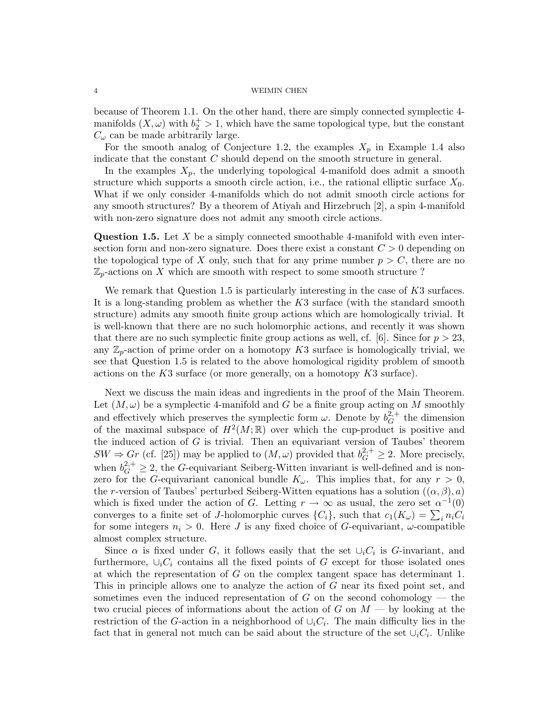because of Theorem 1.1. On the other hand, there are simply connected symplectic 4 manifolds  $(X, \omega)$  with  $b_2^+ > 1$ , which have the same topological type, but the constant  $C_{\omega}$  can be made arbitrarily large.

For the smooth analog of Conjecture 1.2, the examples  $X_p$  in Example 1.4 also indicate that the constant C should depend on the smooth structure in general.

In the examples  $X_p$ , the underlying topological 4-manifold does admit a smooth structure which supports a smooth circle action, i.e., the rational elliptic surface  $X_0$ . What if we only consider 4-manifolds which do not admit smooth circle actions for any smooth structures? By a theorem of Atiyah and Hirzebruch [2], a spin 4-manifold with non-zero signature does not admit any smooth circle actions.

**Question 1.5.** Let X be a simply connected smoothable 4-manifold with even intersection form and non-zero signature. Does there exist a constant  $C > 0$  depending on the topological type of X only, such that for any prime number  $p > C$ , there are no  $\mathbb{Z}_p$ -actions on X which are smooth with respect to some smooth structure ?

We remark that Question 1.5 is particularly interesting in the case of  $K3$  surfaces. It is a long-standing problem as whether the K3 surface (with the standard smooth structure) admits any smooth finite group actions which are homologically trivial. It is well-known that there are no such holomorphic actions, and recently it was shown that there are no such symplectic finite group actions as well, cf. [6]. Since for  $p > 23$ , any  $\mathbb{Z}_p$ -action of prime order on a homotopy K3 surface is homologically trivial, we see that Question 1.5 is related to the above homological rigidity problem of smooth actions on the  $K3$  surface (or more generally, on a homotopy  $K3$  surface).

Next we discuss the main ideas and ingredients in the proof of the Main Theorem. Let  $(M, \omega)$  be a symplectic 4-manifold and G be a finite group acting on M smoothly and effectively which preserves the symplectic form  $\omega$ . Denote by  $b_G^{2,+}$  $G^{2,+}$  the dimension of the maximal subspace of  $H^2(M;\mathbb{R})$  over which the cup-product is positive and the induced action of  $G$  is trivial. Then an equivariant version of Taubes' theorem  $SW \Rightarrow Gr$  (cf. [25]) may be applied to  $(M,\omega)$  provided that  $b_G^{2,+} \geq 2$ . More precisely, when  $b_G^{2,+} \geq 2$ , the G-equivariant Seiberg-Witten invariant is well-defined and is nonzero for the G-equivariant canonical bundle  $K_{\omega}$ . This implies that, for any  $r > 0$ , the r-version of Taubes' perturbed Seiberg-Witten equations has a solution  $((\alpha, \beta), a)$ which is fixed under the action of G. Letting  $r \to \infty$  as usual, the zero set  $\alpha^{-1}(0)$ converges to a finite set of J-holomorphic curves  $\{C_i\}$ , such that  $c_1(K_\omega) = \sum_i n_i C_i$ for some integers  $n_i > 0$ . Here J is any fixed choice of G-equivariant,  $\omega$ -compatible almost complex structure.

Since  $\alpha$  is fixed under G, it follows easily that the set  $\cup_i C_i$  is G-invariant, and furthermore,  $\cup_i C_i$  contains all the fixed points of G except for those isolated ones at which the representation of G on the complex tangent space has determinant 1. This in principle allows one to analyze the action of G near its fixed point set, and sometimes even the induced representation of  $G$  on the second cohomology — the two crucial pieces of informations about the action of G on  $M$  — by looking at the restriction of the G-action in a neighborhood of  $\cup_i C_i$ . The main difficulty lies in the fact that in general not much can be said about the structure of the set  $\cup_i C_i$ . Unlike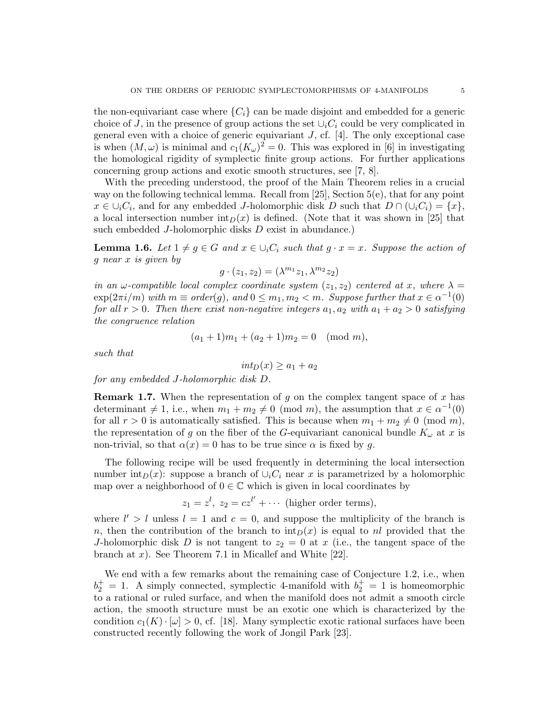the non-equivariant case where  ${C_i}$  can be made disjoint and embedded for a generic choice of J, in the presence of group actions the set  $\cup_i C_i$  could be very complicated in general even with a choice of generic equivariant  $J$ , cf. [4]. The only exceptional case is when  $(M, \omega)$  is minimal and  $c_1(K_\omega)^2 = 0$ . This was explored in [6] in investigating the homological rigidity of symplectic finite group actions. For further applications concerning group actions and exotic smooth structures, see [7, 8].

With the preceding understood, the proof of the Main Theorem relies in a crucial way on the following technical lemma. Recall from [25], Section 5(e), that for any point  $x \in \bigcup_i C_i$ , and for any embedded J-holomorphic disk D such that  $D \cap (\bigcup_i C_i) = \{x\},$ a local intersection number  $\text{int}_D(x)$  is defined. (Note that it was shown in [25] that such embedded J-holomorphic disks D exist in abundance.)

**Lemma 1.6.** Let  $1 \neq g \in G$  and  $x \in \bigcup_i C_i$  such that  $g \cdot x = x$ . Suppose the action of g near x is given by

$$
g\cdot(z_1,z_2)=(\lambda^{m_1}z_1,\lambda^{m_2}z_2)
$$

in an  $\omega$ -compatible local complex coordinate system  $(z_1, z_2)$  centered at x, where  $\lambda =$  $\exp(2\pi i/m)$  with  $m \equiv order(g)$ , and  $0 \leq m_1, m_2 < m$ . Suppose further that  $x \in \alpha^{-1}(0)$ for all  $r > 0$ . Then there exist non-negative integers  $a_1, a_2$  with  $a_1 + a_2 > 0$  satisfying the congruence relation

$$
(a_1 + 1)m_1 + (a_2 + 1)m_2 = 0 \pmod{m},
$$

such that

$$
int_D(x) \ge a_1 + a_2
$$

for any embedded J-holomorphic disk D.

**Remark 1.7.** When the representation of g on the complex tangent space of x has determinant  $\neq 1$ , i.e., when  $m_1 + m_2 \neq 0 \pmod{m}$ , the assumption that  $x \in \alpha^{-1}(0)$ for all  $r > 0$  is automatically satisfied. This is because when  $m_1 + m_2 \neq 0 \pmod{m}$ , the representation of g on the fiber of the G-equivariant canonical bundle  $K_{\omega}$  at x is non-trivial, so that  $\alpha(x) = 0$  has to be true since  $\alpha$  is fixed by q.

The following recipe will be used frequently in determining the local intersection number int<sub>D</sub>(x): suppose a branch of  $\cup_i C_i$  near x is parametrized by a holomorphic map over a neighborhood of  $0 \in \mathbb{C}$  which is given in local coordinates by

 $z_1 = z^l, z_2 = cz^{l'} + \cdots$  (higher order terms),

where  $l' > l$  unless  $l = 1$  and  $c = 0$ , and suppose the multiplicity of the branch is n, then the contribution of the branch to  $\text{int}_D(x)$  is equal to nl provided that the J-holomorphic disk D is not tangent to  $z_2 = 0$  at x (i.e., the tangent space of the branch at x). See Theorem 7.1 in Micallef and White  $[22]$ .

We end with a few remarks about the remaining case of Conjecture 1.2, i.e., when  $b_2^+ = 1$ . A simply connected, symplectic 4-manifold with  $b_2^+ = 1$  is homeomorphic to a rational or ruled surface, and when the manifold does not admit a smooth circle action, the smooth structure must be an exotic one which is characterized by the condition  $c_1(K) \cdot [\omega] > 0$ , cf. [18]. Many symplectic exotic rational surfaces have been constructed recently following the work of Jongil Park [23].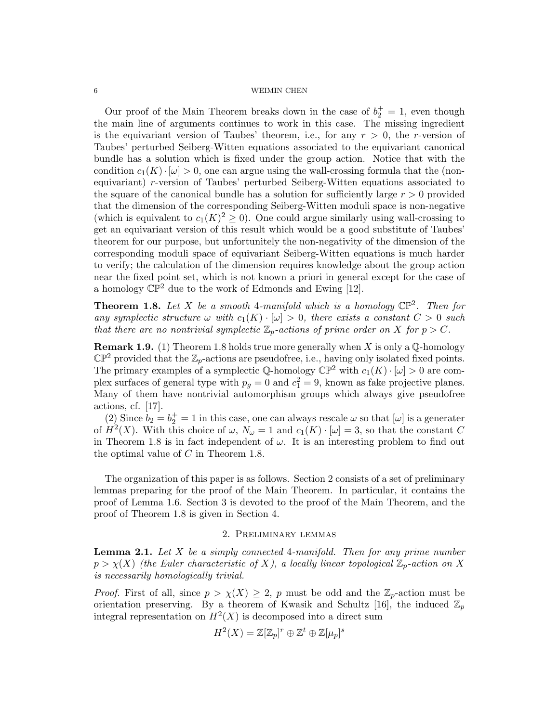Our proof of the Main Theorem breaks down in the case of  $b_2^+ = 1$ , even though the main line of arguments continues to work in this case. The missing ingredient is the equivariant version of Taubes' theorem, i.e., for any  $r > 0$ , the r-version of Taubes' perturbed Seiberg-Witten equations associated to the equivariant canonical bundle has a solution which is fixed under the group action. Notice that with the condition  $c_1(K) \cdot [\omega] > 0$ , one can argue using the wall-crossing formula that the (nonequivariant) r-version of Taubes' perturbed Seiberg-Witten equations associated to the square of the canonical bundle has a solution for sufficiently large  $r > 0$  provided that the dimension of the corresponding Seiberg-Witten moduli space is non-negative (which is equivalent to  $c_1(K)^2 \geq 0$ ). One could argue similarly using wall-crossing to get an equivariant version of this result which would be a good substitute of Taubes' theorem for our purpose, but unfortunitely the non-negativity of the dimension of the corresponding moduli space of equivariant Seiberg-Witten equations is much harder to verify; the calculation of the dimension requires knowledge about the group action near the fixed point set, which is not known a priori in general except for the case of a homology  $\mathbb{CP}^2$  due to the work of Edmonds and Ewing [12].

**Theorem 1.8.** Let X be a smooth 4-manifold which is a homology  $\mathbb{CP}^2$ . Then for any symplectic structure  $\omega$  with  $c_1(K) \cdot [\omega] > 0$ , there exists a constant  $C > 0$  such that there are no nontrivial symplectic  $\mathbb{Z}_p$ -actions of prime order on X for  $p > C$ .

**Remark 1.9.** (1) Theorem 1.8 holds true more generally when X is only a  $\mathbb{Q}$ -homology  $\mathbb{CP}^2$  provided that the  $\mathbb{Z}_p$ -actions are pseudofree, i.e., having only isolated fixed points. The primary examples of a symplectic Q-homology  $\mathbb{CP}^2$  with  $c_1(K) \cdot [\omega] > 0$  are complex surfaces of general type with  $p_g = 0$  and  $c_1^2 = 9$ , known as fake projective planes. Many of them have nontrivial automorphism groups which always give pseudofree actions, cf. [17].

(2) Since  $b_2 = b_2^+ = 1$  in this case, one can always rescale  $\omega$  so that  $[\omega]$  is a generater of  $H^2(X)$ . With this choice of  $\omega$ ,  $N_{\omega} = 1$  and  $c_1(K) \cdot [\omega] = 3$ , so that the constant C in Theorem 1.8 is in fact independent of  $\omega$ . It is an interesting problem to find out the optimal value of C in Theorem 1.8.

The organization of this paper is as follows. Section 2 consists of a set of preliminary lemmas preparing for the proof of the Main Theorem. In particular, it contains the proof of Lemma 1.6. Section 3 is devoted to the proof of the Main Theorem, and the proof of Theorem 1.8 is given in Section 4.

#### 2. Preliminary lemmas

**Lemma 2.1.** Let  $X$  be a simply connected 4-manifold. Then for any prime number  $p > \chi(X)$  (the Euler characteristic of X), a locally linear topological  $\mathbb{Z}_p$ -action on X is necessarily homologically trivial.

*Proof.* First of all, since  $p > \chi(X) \geq 2$ , p must be odd and the  $\mathbb{Z}_p$ -action must be orientation preserving. By a theorem of Kwasik and Schultz [16], the induced  $\mathbb{Z}_p$ integral representation on  $H^2(X)$  is decomposed into a direct sum

$$
H^2(X) = \mathbb{Z}[\mathbb{Z}_p]^r \oplus \mathbb{Z}^t \oplus \mathbb{Z}[\mu_p]^s
$$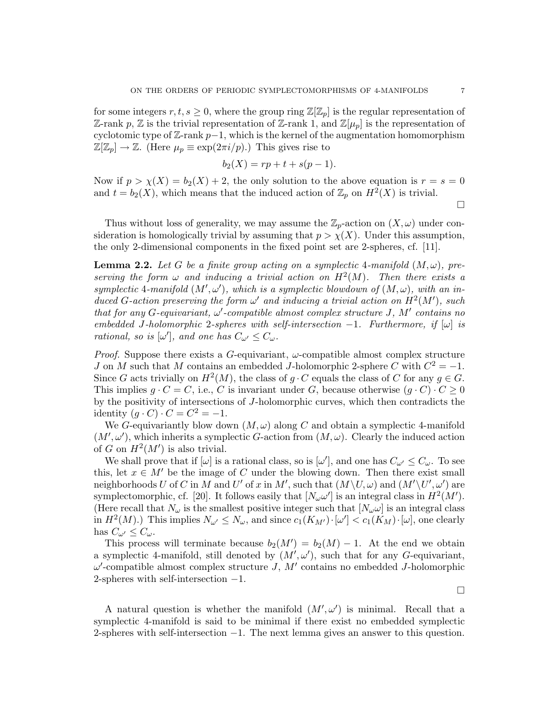for some integers  $r, t, s \geq 0$ , where the group ring  $\mathbb{Z}[\mathbb{Z}_p]$  is the regular representation of Z-rank p, Z is the trivial representation of Z-rank 1, and  $\mathbb{Z}[\mu_p]$  is the representation of cyclotomic type of  $\mathbb{Z}$ -rank  $p-1$ , which is the kernel of the augmentation homomorphism  $\mathbb{Z}[\mathbb{Z}_p] \to \mathbb{Z}$ . (Here  $\mu_p \equiv \exp(2\pi i/p)$ .) This gives rise to

$$
b_2(X) = rp + t + s(p - 1).
$$

Now if  $p > \chi(X) = b_2(X) + 2$ , the only solution to the above equation is  $r = s = 0$ and  $t = b_2(X)$ , which means that the induced action of  $\mathbb{Z}_p$  on  $H^2(X)$  is trivial.

 $\Box$ 

Thus without loss of generality, we may assume the  $\mathbb{Z}_p$ -action on  $(X, \omega)$  under consideration is homologically trivial by assuming that  $p > \chi(X)$ . Under this assumption, the only 2-dimensional components in the fixed point set are 2-spheres, cf. [11].

**Lemma 2.2.** Let G be a finite group acting on a symplectic 4-manifold  $(M, \omega)$ , preserving the form  $\omega$  and inducing a trivial action on  $H^2(M)$ . Then there exists a symplectic 4-manifold  $(M', \omega')$ , which is a symplectic blowdown of  $(M, \omega)$ , with an induced G-action preserving the form  $\omega'$  and inducing a trivial action on  $H^2(M')$ , such that for any G-equivariant,  $\omega'$ -compatible almost complex structure J, M' contains no embedded J-holomorphic 2-spheres with self-intersection  $-1$ . Furthermore, if  $[\omega]$  is rational, so is  $[\omega']$ , and one has  $C_{\omega'} \leq C_{\omega}$ .

*Proof.* Suppose there exists a G-equivariant,  $\omega$ -compatible almost complex structure J on M such that M contains an embedded J-holomorphic 2-sphere C with  $C^2 = -1$ . Since G acts trivially on  $H^2(M)$ , the class of g  $\cdot$  C equals the class of C for any  $g \in G$ . This implies  $g \cdot C = C$ , i.e., C is invariant under G, because otherwise  $(g \cdot C) \cdot C \ge 0$ by the positivity of intersections of J-holomorphic curves, which then contradicts the identity  $(g \cdot C) \cdot C = C^2 = -1$ .

We G-equivariantly blow down  $(M, \omega)$  along C and obtain a symplectic 4-manifold  $(M', \omega')$ , which inherits a symplectic G-action from  $(M, \omega)$ . Clearly the induced action of G on  $H^2(M')$  is also trivial.

We shall prove that if  $[\omega]$  is a rational class, so is  $[\omega']$ , and one has  $C_{\omega'} \leq C_{\omega}$ . To see this, let  $x \in M'$  be the image of C under the blowing down. Then there exist small neighborhoods U of C in M and U' of x in M', such that  $(M\setminus U,\omega)$  and  $(M'\setminus U',\omega')$  are symplectomorphic, cf. [20]. It follows easily that  $[N_{\omega} \omega']$  is an integral class in  $H^2(M')$ . (Here recall that  $N_{\omega}$  is the smallest positive integer such that  $[N_{\omega}\omega]$  is an integral class in  $H^2(M)$ .) This implies  $N_{\omega'} \leq N_{\omega}$ , and since  $c_1(K_{M'}) \cdot [\omega'] < c_1(K_M) \cdot [\omega]$ , one clearly has  $C_{\omega'} \leq C_{\omega}$ .

This process will terminate because  $b_2(M') = b_2(M) - 1$ . At the end we obtain a symplectic 4-manifold, still denoted by  $(M', \omega')$ , such that for any G-equivariant,  $\omega'$ -compatible almost complex structure J,  $M'$  contains no embedded J-holomorphic 2-spheres with self-intersection −1.

 $\Box$ 

A natural question is whether the manifold  $(M', \omega')$  is minimal. Recall that a symplectic 4-manifold is said to be minimal if there exist no embedded symplectic 2-spheres with self-intersection −1. The next lemma gives an answer to this question.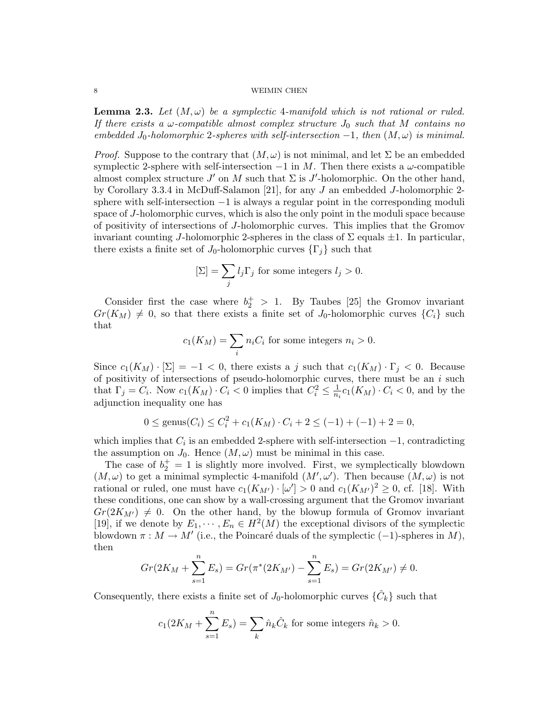**Lemma 2.3.** Let  $(M, \omega)$  be a symplectic 4-manifold which is not rational or ruled. If there exists a  $\omega$ -compatible almost complex structure  $J_0$  such that M contains no embedded  $J_0$ -holomorphic 2-spheres with self-intersection  $-1$ , then  $(M, \omega)$  is minimal.

*Proof.* Suppose to the contrary that  $(M, \omega)$  is not minimal, and let  $\Sigma$  be an embedded symplectic 2-sphere with self-intersection  $-1$  in M. Then there exists a  $\omega$ -compatible almost complex structure  $J'$  on M such that  $\Sigma$  is  $J'$ -holomorphic. On the other hand, by Corollary 3.3.4 in McDuff-Salamon [21], for any J an embedded J-holomorphic 2 sphere with self-intersection −1 is always a regular point in the corresponding moduli space of J-holomorphic curves, which is also the only point in the moduli space because of positivity of intersections of J-holomorphic curves. This implies that the Gromov invariant counting J-holomorphic 2-spheres in the class of  $\Sigma$  equals  $\pm 1$ . In particular, there exists a finite set of  $J_0$ -holomorphic curves  $\{\Gamma_j\}$  such that

$$
[\Sigma] = \sum_j l_j \Gamma_j
$$
 for some integers  $l_j > 0$ .

Consider first the case where  $b_2^+ > 1$ . By Taubes [25] the Gromov invariant  $Gr(K_M) \neq 0$ , so that there exists a finite set of  $J_0$ -holomorphic curves  $\{C_i\}$  such that

$$
c_1(K_M) = \sum_i n_i C_i
$$
 for some integers  $n_i > 0$ .

Since  $c_1(K_M) \cdot [\Sigma] = -1 < 0$ , there exists a j such that  $c_1(K_M) \cdot \Gamma_i < 0$ . Because of positivity of intersections of pseudo-holomorphic curves, there must be an  $i$  such that  $\Gamma_j = C_i$ . Now  $c_1(K_M) \cdot C_i < 0$  implies that  $C_i^2 \leq \frac{1}{n_i} c_1(K_M) \cdot C_i < 0$ , and by the adjunction inequality one has

$$
0 \le \text{genus}(C_i) \le C_i^2 + c_1(K_M) \cdot C_i + 2 \le (-1) + (-1) + 2 = 0,
$$

which implies that  $C_i$  is an embedded 2-sphere with self-intersection  $-1$ , contradicting the assumption on  $J_0$ . Hence  $(M, \omega)$  must be minimal in this case.

The case of  $b_2^+=1$  is slightly more involved. First, we symplectically blowdown  $(M, \omega)$  to get a minimal symplectic 4-manifold  $(M', \omega')$ . Then because  $(M, \omega)$  is not rational or ruled, one must have  $c_1(K_{M'}) \cdot [\omega'] > 0$  and  $c_1(K_{M'})^2 \geq 0$ , cf. [18]. With these conditions, one can show by a wall-crossing argument that the Gromov invariant  $Gr(2K_{M'}) \neq 0$ . On the other hand, by the blowup formula of Gromov invariant [19], if we denote by  $E_1, \dots, E_n \in H^2(M)$  the exceptional divisors of the symplectic blowdown  $\pi : M \to M'$  (i.e., the Poincaré duals of the symplectic (-1)-spheres in M), then

$$
Gr(2K_M + \sum_{s=1}^{n} E_s) = Gr(\pi^*(2K_{M'}) - \sum_{s=1}^{n} E_s) = Gr(2K_{M'}) \neq 0.
$$

Consequently, there exists a finite set of  $J_0$ -holomorphic curves  $\{\hat{C}_k\}$  such that

$$
c_1(2K_M + \sum_{s=1}^n E_s) = \sum_k \hat{n}_k \hat{C}_k
$$
 for some integers  $\hat{n}_k > 0$ .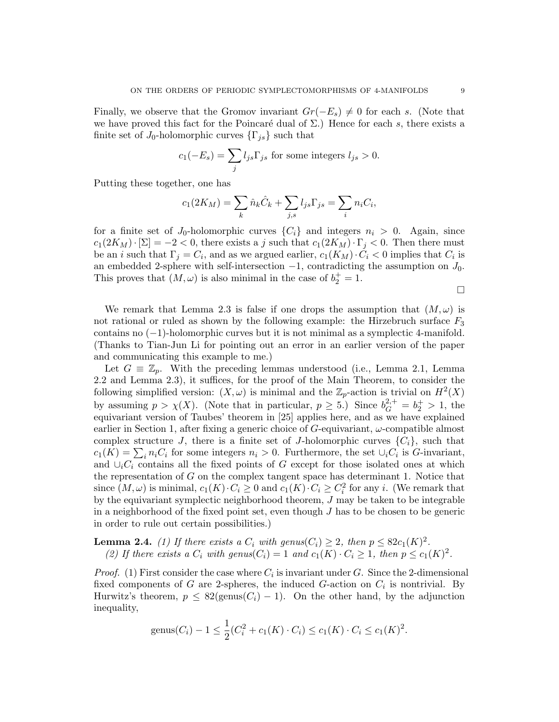Finally, we observe that the Gromov invariant  $Gr(-E_s) \neq 0$  for each s. (Note that we have proved this fact for the Poincaré dual of  $\Sigma$ .) Hence for each s, there exists a finite set of  $J_0$ -holomorphic curves  $\{\Gamma_{is}\}\$  such that

$$
c_1(-E_s) = \sum_j l_{js} \Gamma_{js}
$$
 for some integers  $l_{js} > 0$ .

Putting these together, one has

$$
c_1(2K_M) = \sum_k \hat{n}_k \hat{C}_k + \sum_{j,s} l_{js} \Gamma_{js} = \sum_i n_i C_i,
$$

for a finite set of  $J_0$ -holomorphic curves  $\{C_i\}$  and integers  $n_i > 0$ . Again, since  $c_1(2K_M)\cdot[\Sigma] = -2 < 0$ , there exists a j such that  $c_1(2K_M)\cdot[\Gamma] < 0$ . Then there must be an *i* such that  $\Gamma_j = C_i$ , and as we argued earlier,  $c_1(K_M) \cdot C_i < 0$  implies that  $C_i$  is an embedded 2-sphere with self-intersection  $-1$ , contradicting the assumption on  $J_0$ . This proves that  $(M, \omega)$  is also minimal in the case of  $b_2^+ = 1$ .

 $\Box$ 

We remark that Lemma 2.3 is false if one drops the assumption that  $(M, \omega)$  is not rational or ruled as shown by the following example: the Hirzebruch surface  $F_3$ contains no (−1)-holomorphic curves but it is not minimal as a symplectic 4-manifold. (Thanks to Tian-Jun Li for pointing out an error in an earlier version of the paper and communicating this example to me.)

Let  $G \equiv \mathbb{Z}_p$ . With the preceding lemmas understood (i.e., Lemma 2.1, Lemma 2.2 and Lemma 2.3), it suffices, for the proof of the Main Theorem, to consider the following simplified version:  $(X, \omega)$  is minimal and the  $\mathbb{Z}_p$ -action is trivial on  $H^2(X)$ by assuming  $p > \chi(X)$ . (Note that in particular,  $p \ge 5$ .) Since  $b_G^{2,+} = b_2^+ > 1$ , the equivariant version of Taubes' theorem in [25] applies here, and as we have explained earlier in Section 1, after fixing a generic choice of  $G$ -equivariant,  $\omega$ -compatible almost complex structure J, there is a finite set of J-holomorphic curves  $\{C_i\}$ , such that  $c_1(K) = \sum_i n_i C_i$  for some integers  $n_i > 0$ . Furthermore, the set  $\cup_i C_i$  is G-invariant, and  $\cup_i C_i$  contains all the fixed points of G except for those isolated ones at which the representation of  $G$  on the complex tangent space has determinant 1. Notice that since  $(M, \omega)$  is minimal,  $c_1(K) \cdot C_i \geq 0$  and  $c_1(K) \cdot C_i \geq C_i^2$  for any *i*. (We remark that by the equivariant symplectic neighborhood theorem, J may be taken to be integrable in a neighborhood of the fixed point set, even though J has to be chosen to be generic in order to rule out certain possibilities.)

**Lemma 2.4.** (1) If there exists a  $C_i$  with genus( $C_i$ )  $\geq 2$ , then  $p \leq 82c_1(K)^2$ . (2) If there exists a  $C_i$  with genus( $C_i$ ) = 1 and  $c_1(K) \cdot C_i \ge 1$ , then  $p \le c_1(K)^2$ .

*Proof.* (1) First consider the case where  $C_i$  is invariant under G. Since the 2-dimensional fixed components of G are 2-spheres, the induced G-action on  $C_i$  is nontrivial. By Hurwitz's theorem,  $p \leq 82(\text{genus}(C_i) - 1)$ . On the other hand, by the adjunction inequality,

$$
genus(C_i) - 1 \leq \frac{1}{2}(C_i^2 + c_1(K) \cdot C_i) \leq c_1(K) \cdot C_i \leq c_1(K)^2.
$$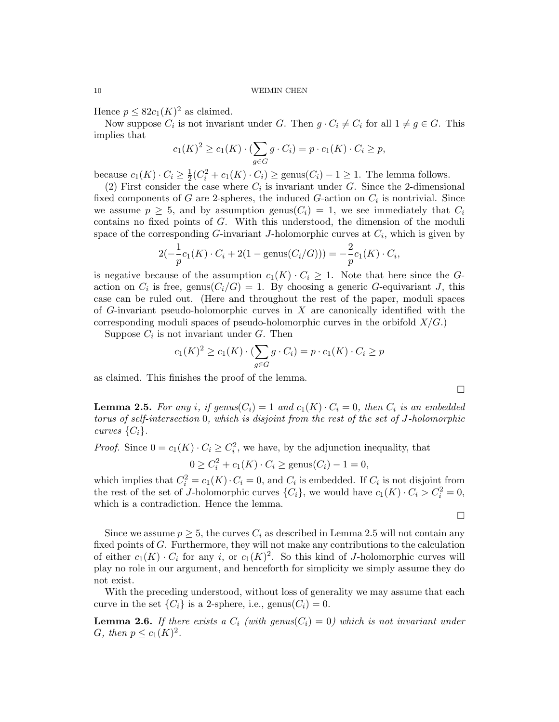Hence  $p \leq 82c_1(K)^2$  as claimed.

Now suppose  $C_i$  is not invariant under G. Then  $g \cdot C_i \neq C_i$  for all  $1 \neq g \in G$ . This implies that

$$
c_1(K)^2 \ge c_1(K) \cdot (\sum_{g \in G} g \cdot C_i) = p \cdot c_1(K) \cdot C_i \ge p,
$$

because  $c_1(K) \cdot C_i \geq \frac{1}{2}$  $\frac{1}{2}(C_i^2 + c_1(K) \cdot C_i) \ge \text{genus}(C_i) - 1 \ge 1$ . The lemma follows.

(2) First consider the case where  $C_i$  is invariant under G. Since the 2-dimensional fixed components of G are 2-spheres, the induced G-action on  $C_i$  is nontrivial. Since we assume  $p \geq 5$ , and by assumption genus( $C_i$ ) = 1, we see immediately that  $C_i$ contains no fixed points of G. With this understood, the dimension of the moduli space of the corresponding  $G$ -invariant J-holomorphic curves at  $C_i$ , which is given by

$$
2(-\frac{1}{p}c_1(K) \cdot C_i + 2(1 - \text{genus}(C_i/G))) = -\frac{2}{p}c_1(K) \cdot C_i,
$$

is negative because of the assumption  $c_1(K) \cdot C_i \geq 1$ . Note that here since the Gaction on  $C_i$  is free, genus $(C_i/G) = 1$ . By choosing a generic G-equivariant J, this case can be ruled out. (Here and throughout the rest of the paper, moduli spaces of G-invariant pseudo-holomorphic curves in  $X$  are canonically identified with the corresponding moduli spaces of pseudo-holomorphic curves in the orbifold  $X/G$ .

Suppose  $C_i$  is not invariant under G. Then

$$
c_1(K)^2 \ge c_1(K) \cdot (\sum_{g \in G} g \cdot C_i) = p \cdot c_1(K) \cdot C_i \ge p
$$

as claimed. This finishes the proof of the lemma.

**Lemma 2.5.** For any i, if genus( $C_i$ ) = 1 and  $c_1(K) \cdot C_i = 0$ , then  $C_i$  is an embedded torus of self-intersection 0, which is disjoint from the rest of the set of J-holomorphic curves  $\{C_i\}$ .

*Proof.* Since  $0 = c_1(K) \cdot C_i \geq C_i^2$ , we have, by the adjunction inequality, that

 $0 \geq C_i^2 + c_1(K) \cdot C_i \geq \text{genus}(C_i) - 1 = 0,$ 

which implies that  $C_i^2 = c_1(K) \cdot C_i = 0$ , and  $C_i$  is embedded. If  $C_i$  is not disjoint from the rest of the set of J-holomorphic curves  $\{C_i\}$ , we would have  $c_1(K) \cdot C_i > C_i^2 = 0$ , which is a contradiction. Hence the lemma.

 $\Box$ 

Since we assume  $p \geq 5$ , the curves  $C_i$  as described in Lemma 2.5 will not contain any fixed points of G. Furthermore, they will not make any contributions to the calculation of either  $c_1(K) \cdot C_i$  for any i, or  $c_1(K)^2$ . So this kind of J-holomorphic curves will play no role in our argument, and henceforth for simplicity we simply assume they do not exist.

With the preceding understood, without loss of generality we may assume that each curve in the set  $\{C_i\}$  is a 2-sphere, i.e., genus $(C_i) = 0$ .

**Lemma 2.6.** If there exists a  $C_i$  (with genus( $C_i$ ) = 0) which is not invariant under G, then  $p \leq c_1(K)^2$ .

 $\Box$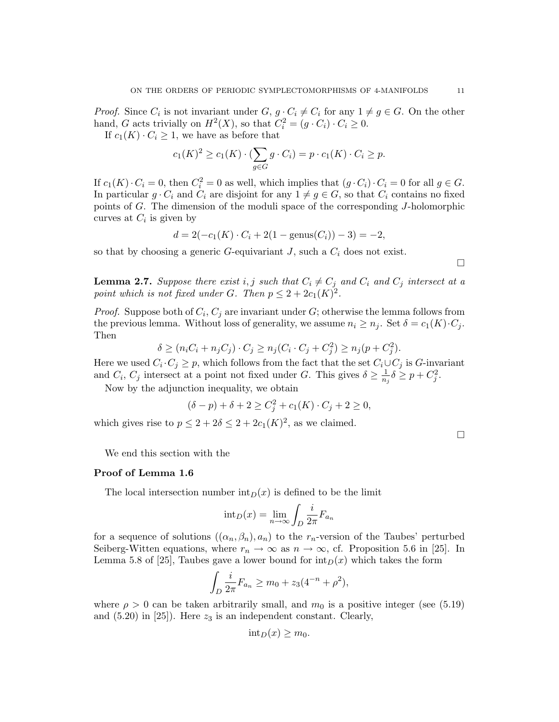*Proof.* Since  $C_i$  is not invariant under  $G, g \cdot C_i \neq C_i$  for any  $1 \neq g \in G$ . On the other hand, G acts trivially on  $H^2(X)$ , so that  $C_i^2 = (g \cdot C_i) \cdot C_i \geq 0$ .

If  $c_1(K) \cdot C_i \geq 1$ , we have as before that

$$
c_1(K)^2 \ge c_1(K) \cdot (\sum_{g \in G} g \cdot C_i) = p \cdot c_1(K) \cdot C_i \ge p.
$$

If  $c_1(K) \cdot C_i = 0$ , then  $C_i^2 = 0$  as well, which implies that  $(g \cdot C_i) \cdot C_i = 0$  for all  $g \in G$ . In particular  $g \cdot C_i$  and  $C_i$  are disjoint for any  $1 \neq g \in G$ , so that  $C_i$  contains no fixed points of G. The dimension of the moduli space of the corresponding J-holomorphic curves at  $C_i$  is given by

$$
d = 2(-c_1(K) \cdot C_i + 2(1 - \text{genus}(C_i)) - 3) = -2,
$$

so that by choosing a generic G-equivariant J, such a  $C_i$  does not exist.

 $\Box$ 

**Lemma 2.7.** Suppose there exist i, j such that  $C_i \neq C_j$  and  $C_i$  and  $C_j$  intersect at a point which is not fixed under G. Then  $p \leq 2 + 2c_1(K)^2$ .

*Proof.* Suppose both of  $C_i$ ,  $C_j$  are invariant under G; otherwise the lemma follows from the previous lemma. Without loss of generality, we assume  $n_i \geq n_j$ . Set  $\delta = c_1(K) \cdot C_j$ . Then

$$
\delta \ge (n_i C_i + n_j C_j) \cdot C_j \ge n_j (C_i \cdot C_j + C_j^2) \ge n_j (p + C_j^2).
$$

Here we used  $C_i \cdot C_j \geq p$ , which follows from the fact that the set  $C_i \cup C_j$  is G-invariant and  $C_i$ ,  $C_j$  intersect at a point not fixed under G. This gives  $\delta \ge \frac{1}{n_j} \delta \ge p + C_j^2$ .

Now by the adjunction inequality, we obtain

$$
(\delta - p) + \delta + 2 \ge C_j^2 + c_1(K) \cdot C_j + 2 \ge 0,
$$

which gives rise to  $p \leq 2 + 2\delta \leq 2 + 2c_1(K)^2$ , as we claimed.

 $\Box$ 

We end this section with the

### Proof of Lemma 1.6

The local intersection number  $\mathrm{int}_D(x)$  is defined to be the limit

$$
int_D(x) = \lim_{n \to \infty} \int_D \frac{i}{2\pi} F_{a_n}
$$

for a sequence of solutions  $((\alpha_n, \beta_n), a_n)$  to the  $r_n$ -version of the Taubes' perturbed Seiberg-Witten equations, where  $r_n \to \infty$  as  $n \to \infty$ , cf. Proposition 5.6 in [25]. In Lemma 5.8 of [25], Taubes gave a lower bound for  $\text{int}_D(x)$  which takes the form

$$
\int_D \frac{i}{2\pi} F_{a_n} \ge m_0 + z_3(4^{-n} + \rho^2),
$$

where  $\rho > 0$  can be taken arbitrarily small, and  $m_0$  is a positive integer (see (5.19) and  $(5.20)$  in [25]). Here  $z_3$  is an independent constant. Clearly,

$$
int_D(x) \ge m_0.
$$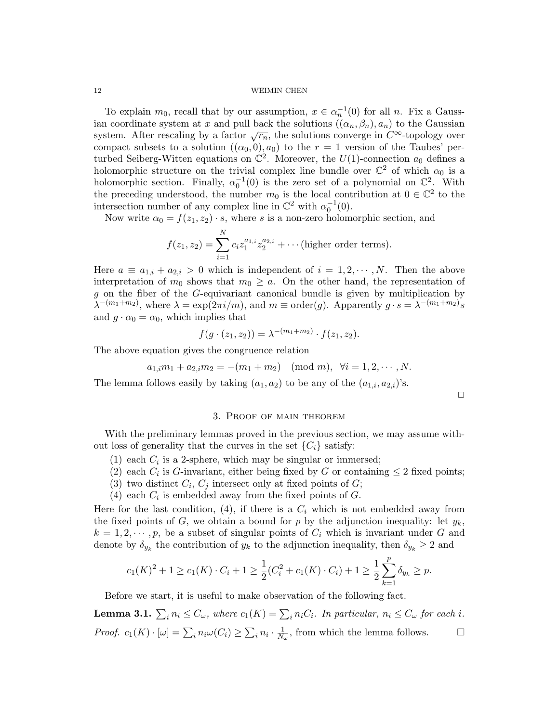To explain  $m_0$ , recall that by our assumption,  $x \in \alpha_n^{-1}(0)$  for all n. Fix a Gaussian coordinate system at x and pull back the solutions  $((\alpha_n, \beta_n), a_n)$  to the Gaussian system. After rescaling by a factor  $\sqrt{r_n}$ , the solutions converge in  $C^{\infty}$ -topology over compact subsets to a solution  $((\alpha_0, 0), a_0)$  to the  $r = 1$  version of the Taubes' perturbed Seiberg-Witten equations on  $\mathbb{C}^2$ . Moreover, the  $U(1)$ -connection  $a_0$  defines a holomorphic structure on the trivial complex line bundle over  $\mathbb{C}^2$  of which  $\alpha_0$  is a holomorphic section. Finally,  $\alpha_0^{-1}(0)$  is the zero set of a polynomial on  $\mathbb{C}^2$ . With the preceding understood, the number  $m_0$  is the local contribution at  $0 \in \mathbb{C}^2$  to the intersection number of any complex line in  $\mathbb{C}^2$  with  $\alpha_0^{-1}(0)$ .

Now write  $\alpha_0 = f(z_1, z_2) \cdot s$ , where s is a non-zero holomorphic section, and

$$
f(z_1, z_2) = \sum_{i=1}^{N} c_i z_1^{a_{1,i}} z_2^{a_{2,i}} + \cdots
$$
 (higher order terms).

Here  $a \equiv a_{1,i} + a_{2,i} > 0$  which is independent of  $i = 1, 2, \dots, N$ . Then the above interpretation of  $m_0$  shows that  $m_0 \ge a$ . On the other hand, the representation of g on the fiber of the G-equivariant canonical bundle is given by multiplication by  $\lambda^{-(m_1+m_2)}$ , where  $\lambda = \exp(2\pi i/m)$ , and  $m \equiv \text{order}(g)$ . Apparently  $g \cdot s = \lambda^{-(m_1+m_2)}s$ and  $g \cdot \alpha_0 = \alpha_0$ , which implies that

$$
f(g \cdot (z_1, z_2)) = \lambda^{-(m_1 + m_2)} \cdot f(z_1, z_2).
$$

The above equation gives the congruence relation

$$
a_{1,i}m_1 + a_{2,i}m_2 = -(m_1 + m_2) \pmod{m}, \forall i = 1, 2, \cdots, N.
$$

The lemma follows easily by taking  $(a_1, a_2)$  to be any of the  $(a_{1,i}, a_{2,i})$ 's.

 $\Box$ 

#### 3. Proof of main theorem

With the preliminary lemmas proved in the previous section, we may assume without loss of generality that the curves in the set  $\{C_i\}$  satisfy:

- (1) each  $C_i$  is a 2-sphere, which may be singular or immersed;
- (2) each  $C_i$  is G-invariant, either being fixed by G or containing  $\leq 2$  fixed points;
- (3) two distinct  $C_i$ ,  $C_j$  intersect only at fixed points of  $G$ ;
- (4) each  $C_i$  is embedded away from the fixed points of  $G$ .

Here for the last condition, (4), if there is a  $C_i$  which is not embedded away from the fixed points of  $G$ , we obtain a bound for p by the adjunction inequality: let  $y_k$ ,  $k = 1, 2, \dots, p$ , be a subset of singular points of  $C_i$  which is invariant under G and denote by  $\delta_{y_k}$  the contribution of  $y_k$  to the adjunction inequality, then  $\delta_{y_k} \geq 2$  and

$$
c_1(K)^2 + 1 \ge c_1(K) \cdot C_i + 1 \ge \frac{1}{2}(C_i^2 + c_1(K) \cdot C_i) + 1 \ge \frac{1}{2} \sum_{k=1}^p \delta_{y_k} \ge p.
$$

Before we start, it is useful to make observation of the following fact.

**Lemma 3.1.**  $\sum_i n_i \leq C_\omega$ , where  $c_1(K) = \sum_i n_i C_i$ . In particular,  $n_i \leq C_\omega$  for each i. *Proof.*  $c_1(K) \cdot [\omega] = \sum_i n_i \omega(C_i) \ge \sum_i n_i \cdot \frac{1}{N_{\omega}}$ , from which the lemma follows.  $\square$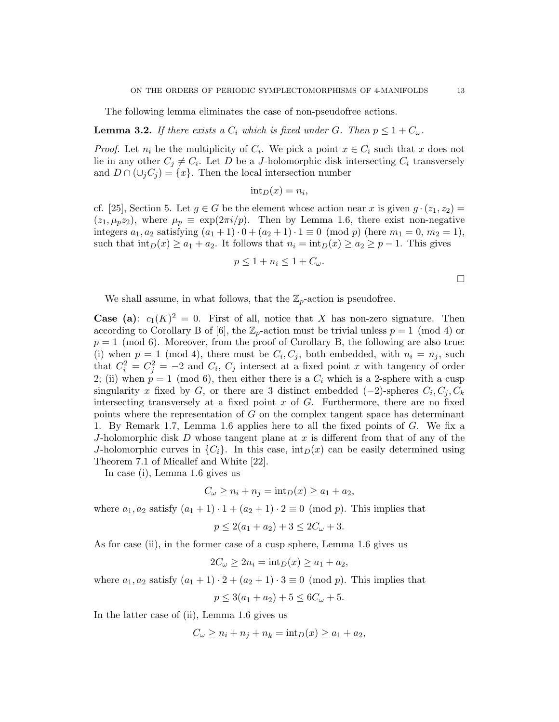The following lemma eliminates the case of non-pseudofree actions.

**Lemma 3.2.** If there exists a  $C_i$  which is fixed under G. Then  $p \leq 1 + C_{\omega}$ .

*Proof.* Let  $n_i$  be the multiplicity of  $C_i$ . We pick a point  $x \in C_i$  such that x does not lie in any other  $C_j \neq C_i$ . Let D be a J-holomorphic disk intersecting  $C_i$  transversely and  $D \cap (\cup_i C_i) = \{x\}$ . Then the local intersection number

$$
int_D(x) = n_i,
$$

cf. [25], Section 5. Let  $q \in G$  be the element whose action near x is given  $q \cdot (z_1, z_2) =$  $(z_1, \mu_p z_2)$ , where  $\mu_p \equiv \exp(2\pi i/p)$ . Then by Lemma 1.6, there exist non-negative integers  $a_1, a_2$  satisfying  $(a_1 + 1) \cdot 0 + (a_2 + 1) \cdot 1 \equiv 0 \pmod{p}$  (here  $m_1 = 0, m_2 = 1$ ), such that  $\text{int}_D(x) \ge a_1 + a_2$ . It follows that  $n_i = \text{int}_D(x) \ge a_2 \ge p - 1$ . This gives

$$
p \le 1 + n_i \le 1 + C_{\omega}.
$$

 $\Box$ 

We shall assume, in what follows, that the  $\mathbb{Z}_p$ -action is pseudofree.

**Case** (a):  $c_1(K)^2 = 0$ . First of all, notice that X has non-zero signature. Then according to Corollary B of [6], the  $\mathbb{Z}_p$ -action must be trivial unless  $p = 1 \pmod{4}$  or  $p = 1 \pmod{6}$ . Moreover, from the proof of Corollary B, the following are also true: (i) when  $p = 1 \pmod{4}$ , there must be  $C_i, C_j$ , both embedded, with  $n_i = n_j$ , such that  $C_i^2 = C_j^2 = -2$  and  $C_i$ ,  $C_j$  intersect at a fixed point x with tangency of order 2; (ii) when  $p = 1 \pmod{6}$ , then either there is a  $C_i$  which is a 2-sphere with a cusp singularity x fixed by G, or there are 3 distinct embedded  $(-2)$ -spheres  $C_i, C_j, C_k$ intersecting transversely at a fixed point  $x$  of  $G$ . Furthermore, there are no fixed points where the representation of G on the complex tangent space has determinant 1. By Remark 1.7, Lemma 1.6 applies here to all the fixed points of G. We fix a J-holomorphic disk  $D$  whose tangent plane at x is different from that of any of the J-holomorphic curves in  $\{C_i\}$ . In this case,  $\text{int}_D(x)$  can be easily determined using Theorem 7.1 of Micallef and White [22].

In case (i), Lemma 1.6 gives us

$$
C_{\omega} \ge n_i + n_j = \mathrm{int}_D(x) \ge a_1 + a_2,
$$

where  $a_1, a_2$  satisfy  $(a_1 + 1) \cdot 1 + (a_2 + 1) \cdot 2 \equiv 0 \pmod{p}$ . This implies that

$$
p \le 2(a_1 + a_2) + 3 \le 2C_{\omega} + 3.
$$

As for case (ii), in the former case of a cusp sphere, Lemma 1.6 gives us

$$
2C_{\omega} \ge 2n_i = \mathrm{int}_D(x) \ge a_1 + a_2,
$$

where  $a_1, a_2$  satisfy  $(a_1 + 1) \cdot 2 + (a_2 + 1) \cdot 3 \equiv 0 \pmod{p}$ . This implies that

$$
p \le 3(a_1 + a_2) + 5 \le 6C_{\omega} + 5.
$$

In the latter case of (ii), Lemma 1.6 gives us

$$
C_{\omega} \ge n_i + n_j + n_k = \mathrm{int}_D(x) \ge a_1 + a_2,
$$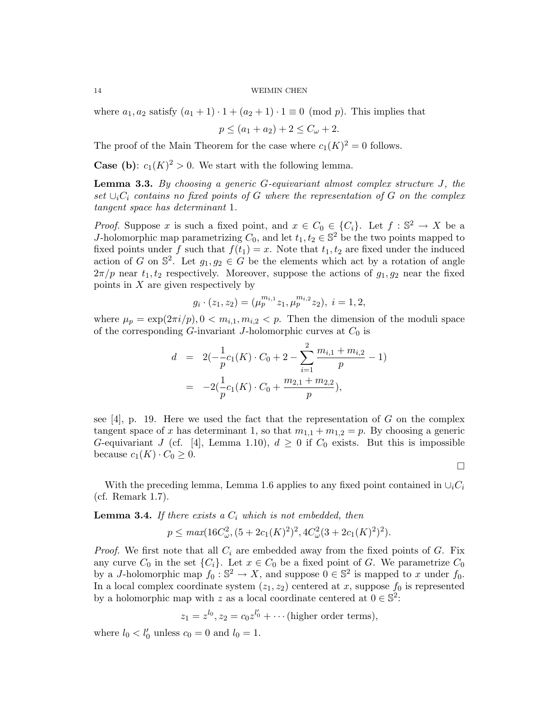where  $a_1, a_2$  satisfy  $(a_1 + 1) \cdot 1 + (a_2 + 1) \cdot 1 \equiv 0 \pmod{p}$ . This implies that

 $p \leq (a_1 + a_2) + 2 \leq C_{\omega} + 2.$ 

The proof of the Main Theorem for the case where  $c_1(K)^2 = 0$  follows.

**Case (b):**  $c_1(K)^2 > 0$ . We start with the following lemma.

Lemma 3.3. By choosing a generic G-equivariant almost complex structure J, the set  $\cup_i C_i$  contains no fixed points of G where the representation of G on the complex tangent space has determinant 1.

*Proof.* Suppose x is such a fixed point, and  $x \in C_0 \in \{C_i\}$ . Let  $f : \mathbb{S}^2 \to X$  be a J-holomorphic map parametrizing  $C_0$ , and let  $t_1, t_2 \in \mathbb{S}^2$  be the two points mapped to fixed points under f such that  $f(t_1) = x$ . Note that  $t_1, t_2$  are fixed under the induced action of G on  $\mathbb{S}^2$ . Let  $g_1, g_2 \in G$  be the elements which act by a rotation of angle  $2\pi/p$  near  $t_1, t_2$  respectively. Moreover, suppose the actions of  $g_1, g_2$  near the fixed points in  $X$  are given respectively by

$$
g_i \cdot (z_1, z_2) = (\mu_p^{m_{i,1}} z_1, \mu_p^{m_{i,2}} z_2), \ i = 1, 2,
$$

where  $\mu_p = \exp(2\pi i/p)$ ,  $0 < m_{i,1}, m_{i,2} < p$ . Then the dimension of the moduli space of the corresponding G-invariant J-holomorphic curves at  $C_0$  is

$$
d = 2(-\frac{1}{p}c_1(K) \cdot C_0 + 2 - \sum_{i=1}^2 \frac{m_{i,1} + m_{i,2}}{p} - 1)
$$
  
= -2( $\frac{1}{p}c_1(K) \cdot C_0 + \frac{m_{2,1} + m_{2,2}}{p}$ ),

see  $[4]$ , p. 19. Here we used the fact that the representation of G on the complex tangent space of x has determinant 1, so that  $m_{1,1} + m_{1,2} = p$ . By choosing a generic G-equivariant J (cf. [4], Lemma 1.10),  $d \geq 0$  if  $C_0$  exists. But this is impossible because  $c_1(K) \cdot C_0 \geq 0$ .

 $\Box$ 

With the preceding lemma, Lemma 1.6 applies to any fixed point contained in  $\cup_i C_i$ (cf. Remark 1.7).

**Lemma 3.4.** If there exists a  $C_i$  which is not embedded, then

$$
p \leq \max(16C_{\omega}^{2}, (5 + 2c_{1}(K)^{2})^{2}, 4C_{\omega}^{2}(3 + 2c_{1}(K)^{2})^{2}).
$$

*Proof.* We first note that all  $C_i$  are embedded away from the fixed points of  $G$ . Fix any curve  $C_0$  in the set  $\{C_i\}$ . Let  $x \in C_0$  be a fixed point of G. We parametrize  $C_0$ by a J-holomorphic map  $f_0 : \mathbb{S}^2 \to X$ , and suppose  $0 \in \mathbb{S}^2$  is mapped to x under  $f_0$ . In a local complex coordinate system  $(z_1, z_2)$  centered at x, suppose  $f_0$  is represented by a holomorphic map with z as a local coordinate centered at  $0 \in \mathbb{S}^2$ :

$$
z_1 = z^{l_0}, z_2 = c_0 z^{l'_0} + \cdots
$$
 (higher order terms),

where  $l_0 < l'_0$  unless  $c_0 = 0$  and  $l_0 = 1$ .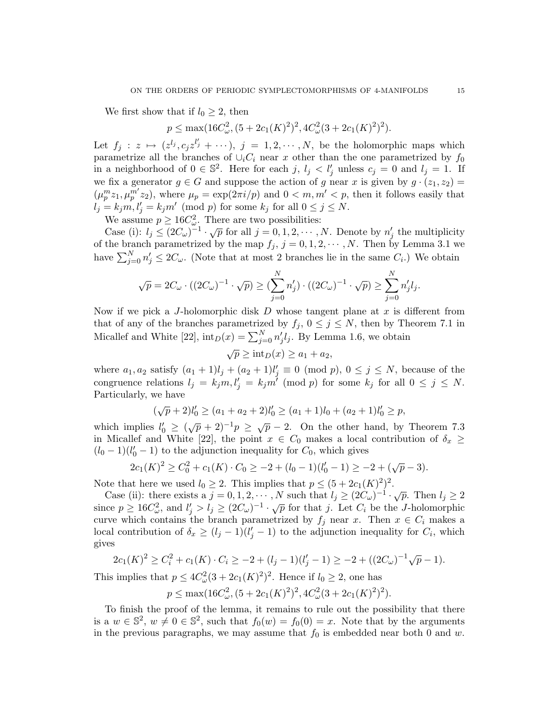We first show that if  $l_0 \geq 2$ , then

$$
p \le \max(16C_{\omega}^2, (5+2c_1(K)^2)^2, 4C_{\omega}^2(3+2c_1(K)^2)^2).
$$

Let  $f_j : z \mapsto (z^{l_j}, c_j z^{l'_j} + \cdots), j = 1, 2, \cdots, N$ , be the holomorphic maps which parametrize all the branches of  $\cup_i C_i$  near x other than the one parametrized by  $f_0$ in a neighborhood of  $0 \in \mathbb{S}^2$ . Here for each j,  $l_j < l'_j$  unless  $c_j = 0$  and  $l_j = 1$ . If we fix a generator  $g \in G$  and suppose the action of g near x is given by  $g \cdot (z_1, z_2) =$  $(\mu_p^m z_1, \mu_p^{m'} z_2)$ , where  $\mu_p = \exp(2\pi i/p)$  and  $0 < m, m' < p$ , then it follows easily that  $l_j = k_j m, l'_j = k_j m' \pmod{p}$  for some  $k_j$  for all  $0 \le j \le N$ .

We assume  $p \ge 16C_{\omega}^2$ . There are two possibilities:

Case (i):  $l_j \leq (2C_{\omega})^{-1} \cdot \sqrt{p}$  for all  $j = 0, 1, 2, \cdots, N$ . Denote by  $n'_j$  the multiplicity of the branch parametrized by the map  $f_j$ ,  $j = 0, 1, 2, \dots, N$ . Then by Lemma 3.1 we have  $\sum_{j=0}^{N} n'_j \leq 2C_{\omega}$ . (Note that at most 2 branches lie in the same  $C_i$ .) We obtain

$$
\sqrt{p} = 2C_{\omega} \cdot ((2C_{\omega})^{-1} \cdot \sqrt{p}) \ge (\sum_{j=0}^{N} n'_j) \cdot ((2C_{\omega})^{-1} \cdot \sqrt{p}) \ge \sum_{j=0}^{N} n'_j l_j.
$$

Now if we pick a J-holomorphic disk  $D$  whose tangent plane at  $x$  is different from that of any of the branches parametrized by  $f_j$ ,  $0 \leq j \leq N$ , then by Theorem 7.1 in Micallef and White [22],  $\text{int}_D(x) = \sum_{j=0}^N n'_j l_j$ . By Lemma 1.6, we obtain

$$
\sqrt{p} \ge \operatorname{int}_D(x) \ge a_1 + a_2,
$$

where  $a_1, a_2$  satisfy  $(a_1 + 1)l_j + (a_2 + 1)l'_j \equiv 0 \pmod{p}$ ,  $0 \le j \le N$ , because of the congruence relations  $l_j = k_j m, l'_j = k_j m' \pmod{p}$  for some  $k_j$  for all  $0 \le j \le N$ . Particularly, we have

$$
(\sqrt{p}+2)l'_0 \ge (a_1+a_2+2)l'_0 \ge (a_1+1)l_0 + (a_2+1)l'_0 \ge p,
$$

which implies  $l'_0 \geq (\sqrt{p} + 2)^{-1}p \geq \sqrt{p} - 2$ . On the other hand, by Theorem 7.3 in Micallef and White [22], the point  $x \in C_0$  makes a local contribution of  $\delta_x \geq$  $(l_0 - 1)(l'_0 - 1)$  to the adjunction inequality for  $C_0$ , which gives

$$
2c_1(K)^2 \ge C_0^2 + c_1(K) \cdot C_0 \ge -2 + (l_0 - 1)(l_0' - 1) \ge -2 + (\sqrt{p} - 3).
$$

Note that here we used  $l_0 \geq 2$ . This implies that  $p \leq (5 + 2c_1(K)^2)^2$ .

Case (ii): there exists a  $j = 0, 1, 2, \dots$ , N such that  $l_j \geq (2C_\omega)^{-1} \cdot \sqrt{p}$ . Then  $l_j \geq 2$ since  $p \ge 16C_{\omega}^2$ , and  $l'_j > l_j \ge (2C_{\omega})^{-1} \cdot \sqrt{p}$  for that j. Let  $C_i$  be the J-holomorphic curve which contains the branch parametrized by  $f_j$  near x. Then  $x \in C_i$  makes a local contribution of  $\delta_x \ge (l_j - 1)(l'_j - 1)$  to the adjunction inequality for  $C_i$ , which gives

$$
2c_1(K)^2 \ge C_i^2 + c_1(K) \cdot C_i \ge -2 + (l_j - 1)(l'_j - 1) \ge -2 + ((2C_{\omega})^{-1}\sqrt{p} - 1).
$$

This implies that  $p \leq 4C_{\omega}^2(3+2c_1(K)^2)^2$ . Hence if  $l_0 \geq 2$ , one has

$$
p \le \max(16C_{\omega}^{2}, (5+2c_{1}(K)^{2})^{2}, 4C_{\omega}^{2}(3+2c_{1}(K)^{2})^{2}).
$$

To finish the proof of the lemma, it remains to rule out the possibility that there is a  $w \in \mathbb{S}^2$ ,  $w \neq 0 \in \mathbb{S}^2$ , such that  $f_0(w) = f_0(0) = x$ . Note that by the arguments in the previous paragraphs, we may assume that  $f_0$  is embedded near both 0 and w.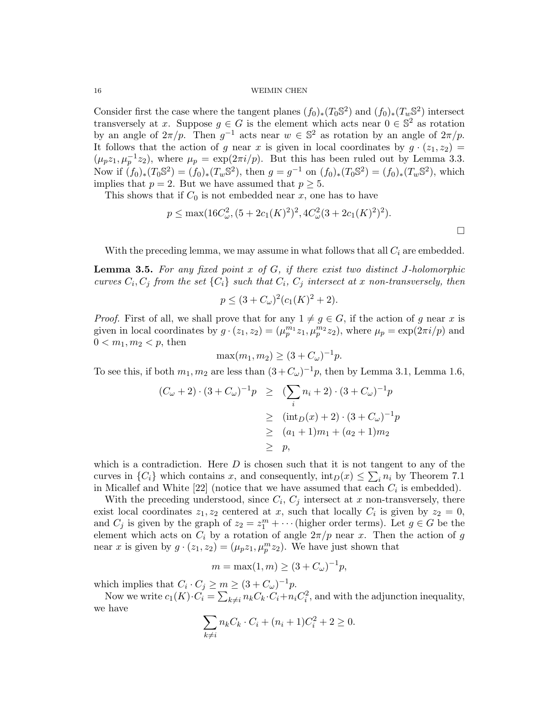Consider first the case where the tangent planes  $(f_0)_*(T_0 \mathbb{S}^2)$  and  $(f_0)_*(T_w \mathbb{S}^2)$  intersect transversely at x. Suppose  $g \in G$  is the element which acts near  $0 \in \mathbb{S}^2$  as rotation by an angle of  $2\pi/p$ . Then  $g^{-1}$  acts near  $w \in \mathbb{S}^2$  as rotation by an angle of  $2\pi/p$ . It follows that the action of g near x is given in local coordinates by  $g \cdot (z_1, z_2) =$  $(\mu_p z_1, \mu_p^{-1} z_2)$ , where  $\mu_p = \exp(2\pi i/p)$ . But this has been ruled out by Lemma 3.3. Now if  $(f_0)_*(T_0\mathbb{S}^2) = (f_0)_*(T_w\mathbb{S}^2)$ , then  $g = g^{-1}$  on  $(f_0)_*(T_0\mathbb{S}^2) = (f_0)_*(T_w\mathbb{S}^2)$ , which implies that  $p = 2$ . But we have assumed that  $p \geq 5$ .

This shows that if  $C_0$  is not embedded near x, one has to have

$$
p \le \max(16C_{\omega}^2, (5+2c_1(K)^2)^2, 4C_{\omega}^2(3+2c_1(K)^2)^2).
$$

With the preceding lemma, we may assume in what follows that all  $C_i$  are embedded.

**Lemma 3.5.** For any fixed point  $x$  of  $G$ , if there exist two distinct J-holomorphic curves  $C_i, C_j$  from the set  $\{C_i\}$  such that  $C_i, C_j$  intersect at x non-transversely, then

$$
p \le (3 + C_{\omega})^2 (c_1(K)^2 + 2).
$$

*Proof.* First of all, we shall prove that for any  $1 \neq g \in G$ , if the action of g near x is given in local coordinates by  $g \cdot (z_1, z_2) = (\mu_p^{m_1} z_1, \mu_p^{m_2} z_2)$ , where  $\mu_p = \exp(2\pi i/p)$  and  $0 < m_1, m_2 < p$ , then

 $\max(m_1, m_2) \ge (3 + C_{\omega})^{-1} p.$ 

To see this, if both  $m_1, m_2$  are less than  $(3+C_\omega)^{-1}p$ , then by Lemma 3.1, Lemma 1.6,

$$
(C_{\omega} + 2) \cdot (3 + C_{\omega})^{-1}p \geq (\sum_{i} n_i + 2) \cdot (3 + C_{\omega})^{-1}p
$$
  
\n
$$
\geq (\text{int}_D(x) + 2) \cdot (3 + C_{\omega})^{-1}p
$$
  
\n
$$
\geq (a_1 + 1)m_1 + (a_2 + 1)m_2
$$
  
\n
$$
\geq p,
$$

which is a contradiction. Here  $D$  is chosen such that it is not tangent to any of the curves in  $\{C_i\}$  which contains x, and consequently,  $\text{int}_D(x) \leq \sum_i n_i$  by Theorem 7.1 in Micallef and White  $[22]$  (notice that we have assumed that each  $C_i$  is embedded).

With the preceding understood, since  $C_i$ ,  $C_j$  intersect at x non-transversely, there exist local coordinates  $z_1, z_2$  centered at x, such that locally  $C_i$  is given by  $z_2 = 0$ , and  $C_j$  is given by the graph of  $z_2 = z_1^m + \cdots$  (higher order terms). Let  $g \in G$  be the element which acts on  $C_i$  by a rotation of angle  $2\pi/p$  near x. Then the action of g near x is given by  $g \cdot (z_1, z_2) = (\mu_p z_1, \mu_p^m z_2)$ . We have just shown that

$$
m = \max(1, m) \ge (3 + C_{\omega})^{-1} p,
$$

which implies that  $C_i \cdot C_j \geq m \geq (3 + C_{\omega})^{-1}p$ .

Now we write  $c_1(K) \cdot C_i = \sum_{k \neq i} n_k C_k \cdot C_i + n_i C_i^2$ , and with the adjunction inequality, we have

$$
\sum_{k \neq i} n_k C_k \cdot C_i + (n_i + 1)C_i^2 + 2 \geq 0.
$$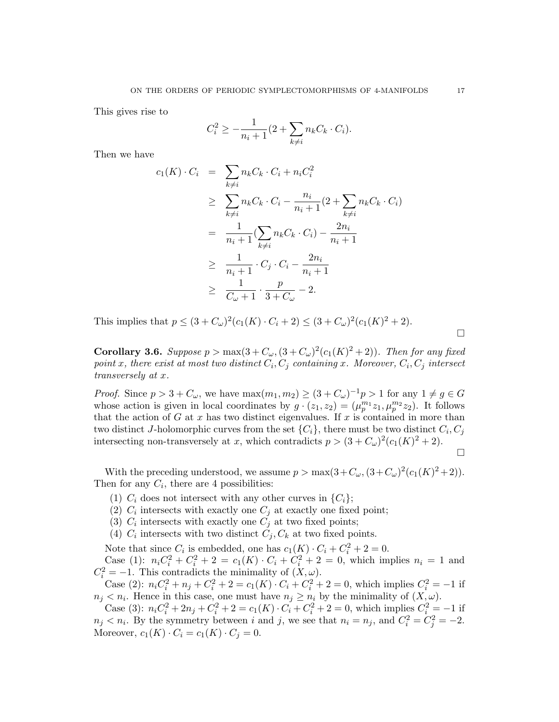This gives rise to

$$
C_i^2 \ge -\frac{1}{n_i+1}(2+\sum_{k\neq i} n_k C_k \cdot C_i).
$$

Then we have

$$
c_1(K) \cdot C_i = \sum_{k \neq i} n_k C_k \cdot C_i + n_i C_i^2
$$
  
\n
$$
\geq \sum_{k \neq i} n_k C_k \cdot C_i - \frac{n_i}{n_i + 1} (2 + \sum_{k \neq i} n_k C_k \cdot C_i)
$$
  
\n
$$
= \frac{1}{n_i + 1} (\sum_{k \neq i} n_k C_k \cdot C_i) - \frac{2n_i}{n_i + 1}
$$
  
\n
$$
\geq \frac{1}{n_i + 1} \cdot C_j \cdot C_i - \frac{2n_i}{n_i + 1}
$$
  
\n
$$
\geq \frac{1}{C_{\omega} + 1} \cdot \frac{p}{3 + C_{\omega}} - 2.
$$

This implies that  $p \leq (3 + C_{\omega})^2 (c_1(K) \cdot C_i + 2) \leq (3 + C_{\omega})^2 (c_1(K)^2 + 2)$ .

**Corollary 3.6.** Suppose  $p > max(3 + C_{\omega}, (3 + C_{\omega})^2(c_1(K)^2 + 2))$ . Then for any fixed point x, there exist at most two distinct  $C_i, C_j$  containing x. Moreover,  $C_i, C_j$  intersect transversely at x.

*Proof.* Since  $p > 3 + C_{\omega}$ , we have  $\max(m_1, m_2) \ge (3 + C_{\omega})^{-1}p > 1$  for any  $1 \ne g \in G$ whose action is given in local coordinates by  $g \cdot (z_1, z_2) = (\mu_p^{m_1} z_1, \mu_p^{m_2} z_2)$ . It follows that the action of G at x has two distinct eigenvalues. If x is contained in more than two distinct J-holomorphic curves from the set  $\{C_i\}$ , there must be two distinct  $C_i, C_j$ intersecting non-transversely at x, which contradicts  $p > (3 + C_{\omega})^2 (c_1(K)^2 + 2)$ . П

With the preceding understood, we assume  $p > \max(3 + C_{\omega}, (3 + C_{\omega})^2 (c_1(K)^2 + 2)).$ Then for any  $C_i$ , there are 4 possibilities:

- (1)  $C_i$  does not intersect with any other curves in  $\{C_i\}$ ;
- (2)  $C_i$  intersects with exactly one  $C_j$  at exactly one fixed point;
- (3)  $C_i$  intersects with exactly one  $C_j$  at two fixed points;
- (4)  $C_i$  intersects with two distinct  $C_j, C_k$  at two fixed points.

Note that since  $C_i$  is embedded, one has  $c_1(K) \cdot C_i + C_i^2 + 2 = 0$ .

Case (1):  $n_i C_i^2 + C_i^2 + 2 = c_1(K) \cdot C_i + C_i^2 + 2 = 0$ , which implies  $n_i = 1$  and  $C_i^2 = -1$ . This contradicts the minimality of  $(X, \omega)$ .

Case (2):  $n_i C_i^2 + n_j + C_i^2 + 2 = c_1(K) \cdot C_i + C_i^2 + 2 = 0$ , which implies  $C_i^2 = -1$  if  $n_j < n_i$ . Hence in this case, one must have  $n_j \geq n_i$  by the minimality of  $(X,\omega)$ .

Case (3):  $n_i C_i^2 + 2n_j + C_i^2 + 2 = c_1(K) \cdot C_i + C_i^2 + 2 = 0$ , which implies  $C_i^2 = -1$  if  $n_j < n_i$ . By the symmetry between i and j, we see that  $n_i = n_j$ , and  $C_i^2 = C_j^2 = -2$ . Moreover,  $c_1(K) \cdot C_i = c_1(K) \cdot C_j = 0.$ 

 $\Box$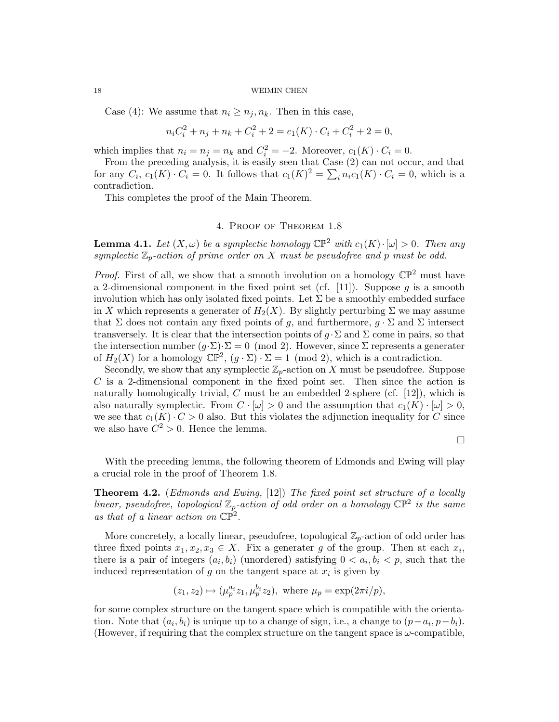Case (4): We assume that  $n_i \geq n_j, n_k$ . Then in this case,

$$
n_i C_i^2 + n_j + n_k + C_i^2 + 2 = c_1(K) \cdot C_i + C_i^2 + 2 = 0,
$$

which implies that  $n_i = n_j = n_k$  and  $C_i^2 = -2$ . Moreover,  $c_1(K) \cdot C_i = 0$ .

From the preceding analysis, it is easily seen that Case (2) can not occur, and that for any  $C_i$ ,  $c_1(K) \cdot C_i = 0$ . It follows that  $c_1(K)^2 = \sum_i n_i c_1(K) \cdot C_i = 0$ , which is a contradiction.

This completes the proof of the Main Theorem.

## 4. Proof of Theorem 1.8

**Lemma 4.1.** Let  $(X, \omega)$  be a symplectic homology  $\mathbb{CP}^2$  with  $c_1(K) \cdot |\omega| > 0$ . Then any symplectic  $\mathbb{Z}_p$ -action of prime order on X must be pseudofree and p must be odd.

*Proof.* First of all, we show that a smooth involution on a homology  $\mathbb{CP}^2$  must have a 2-dimensional component in the fixed point set (cf. [11]). Suppose  $q$  is a smooth involution which has only isolated fixed points. Let  $\Sigma$  be a smoothly embedded surface in X which represents a generater of  $H_2(X)$ . By slightly perturbing  $\Sigma$  we may assume that  $\Sigma$  does not contain any fixed points of g, and furthermore,  $q \cdot \Sigma$  and  $\Sigma$  intersect transversely. It is clear that the intersection points of  $q \cdot \Sigma$  and  $\Sigma$  come in pairs, so that the intersection number  $(g \cdot \Sigma) \cdot \Sigma = 0 \pmod{2}$ . However, since  $\Sigma$  represents a generater of  $H_2(X)$  for a homology  $\mathbb{CP}^2$ ,  $(g \cdot \Sigma) \cdot \Sigma = 1 \pmod{2}$ , which is a contradiction.

Secondly, we show that any symplectic  $\mathbb{Z}_p$ -action on X must be pseudofree. Suppose C is a 2-dimensional component in the fixed point set. Then since the action is naturally homologically trivial,  $C$  must be an embedded 2-sphere (cf. [12]), which is also naturally symplectic. From  $C \cdot [\omega] > 0$  and the assumption that  $c_1(K) \cdot [\omega] > 0$ , we see that  $c_1(K) \cdot C > 0$  also. But this violates the adjunction inequality for C since we also have  $C^2 > 0$ . Hence the lemma.

 $\Box$ 

With the preceding lemma, the following theorem of Edmonds and Ewing will play a crucial role in the proof of Theorem 1.8.

**Theorem 4.2.** (Edmonds and Ewing, [12]) The fixed point set structure of a locally linear, pseudofree, topological  $\mathbb{Z}_p$ -action of odd order on a homology  $\mathbb{CP}^2$  is the same as that of a linear action on  $\mathbb{CP}^2$ .

More concretely, a locally linear, pseudofree, topological  $\mathbb{Z}_p$ -action of odd order has three fixed points  $x_1, x_2, x_3 \in X$ . Fix a generater g of the group. Then at each  $x_i$ , there is a pair of integers  $(a_i, b_i)$  (unordered) satisfying  $0 < a_i, b_i < p$ , such that the induced representation of  $g$  on the tangent space at  $x_i$  is given by

$$
(z_1, z_2) \mapsto (\mu_p^{a_i} z_1, \mu_p^{b_i} z_2)
$$
, where  $\mu_p = \exp(2\pi i/p)$ ,

for some complex structure on the tangent space which is compatible with the orientation. Note that  $(a_i, b_i)$  is unique up to a change of sign, i.e., a change to  $(p-a_i, p-b_i)$ . (However, if requiring that the complex structure on the tangent space is  $\omega$ -compatible,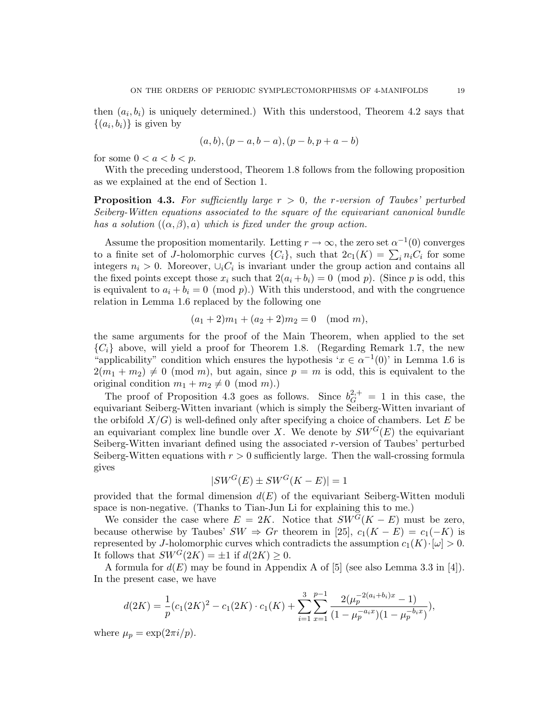then  $(a_i, b_i)$  is uniquely determined.) With this understood, Theorem 4.2 says that  $\{(a_i, b_i)\}\$ is given by

$$
(a, b), (p - a, b - a), (p - b, p + a - b)
$$

for some  $0 < a < b < p$ .

With the preceding understood, Theorem 1.8 follows from the following proposition as we explained at the end of Section 1.

**Proposition 4.3.** For sufficiently large  $r > 0$ , the r-version of Taubes' perturbed Seiberg-Witten equations associated to the square of the equivariant canonical bundle has a solution  $((\alpha, \beta), a)$  which is fixed under the group action.

Assume the proposition momentarily. Letting  $r \to \infty$ , the zero set  $\alpha^{-1}(0)$  converges to a finite set of J-holomorphic curves  $\{C_i\}$ , such that  $2c_1(K) = \sum_i n_i C_i$  for some integers  $n_i > 0$ . Moreover,  $\cup_i C_i$  is invariant under the group action and contains all the fixed points except those  $x_i$  such that  $2(a_i + b_i) = 0 \pmod{p}$ . (Since p is odd, this is equivalent to  $a_i + b_i = 0 \pmod{p}$ . With this understood, and with the congruence relation in Lemma 1.6 replaced by the following one

$$
(a_1 + 2)m_1 + (a_2 + 2)m_2 = 0 \pmod{m},
$$

the same arguments for the proof of the Main Theorem, when applied to the set  $\{C_i\}$  above, will yield a proof for Theorem 1.8. (Regarding Remark 1.7, the new "applicability" condition which ensures the hypothesis ' $x \in \alpha^{-1}(0)$ ' in Lemma 1.6 is  $2(m_1 + m_2) \neq 0 \pmod{m}$ , but again, since  $p = m$  is odd, this is equivalent to the original condition  $m_1 + m_2 \neq 0 \pmod{m}$ .

The proof of Proposition 4.3 goes as follows. Since  $b_G^{2,+} = 1$  in this case, the equivariant Seiberg-Witten invariant (which is simply the Seiberg-Witten invariant of the orbifold  $X/G$ ) is well-defined only after specifying a choice of chambers. Let E be an equivariant complex line bundle over X. We denote by  $SW^G(E)$  the equivariant Seiberg-Witten invariant defined using the associated r-version of Taubes' perturbed Seiberg-Witten equations with  $r > 0$  sufficiently large. Then the wall-crossing formula gives

$$
|SW^G(E) \pm SW^G(K - E)| = 1
$$

provided that the formal dimension  $d(E)$  of the equivariant Seiberg-Witten moduli space is non-negative. (Thanks to Tian-Jun Li for explaining this to me.)

We consider the case where  $E = 2K$ . Notice that  $SW^{\tilde{G}}(K - E)$  must be zero, because otherwise by Taubes'  $SW \Rightarrow Gr$  theorem in [25],  $c_1(K - E) = c_1(-K)$  is represented by J-holomorphic curves which contradicts the assumption  $c_1(K) \cdot [\omega] > 0$ . It follows that  $SW^G(2K) = \pm 1$  if  $d(2K) > 0$ .

A formula for  $d(E)$  may be found in Appendix A of [5] (see also Lemma 3.3 in [4]). In the present case, we have

$$
d(2K) = \frac{1}{p}(c_1(2K)^2 - c_1(2K) \cdot c_1(K) + \sum_{i=1}^3 \sum_{x=1}^{p-1} \frac{2(\mu_p^{-2(a_i+b_i)x} - 1)}{(1 - \mu_p^{-a_i x})(1 - \mu_p^{-b_i x})}),
$$

where  $\mu_p = \exp(2\pi i/p)$ .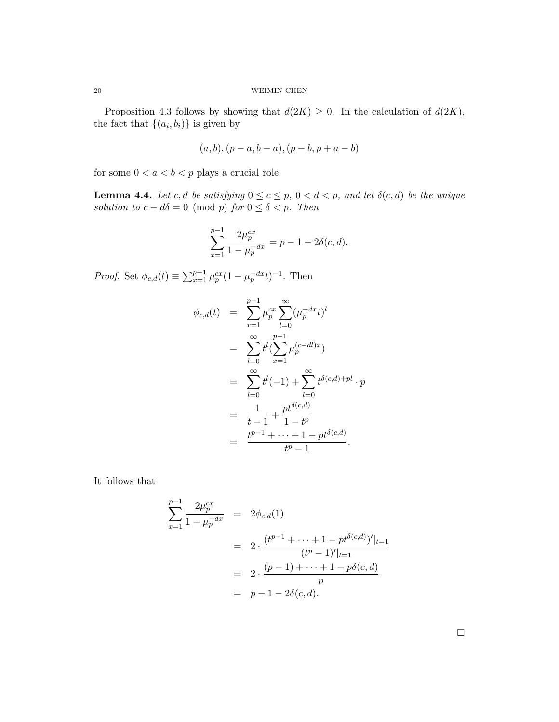Proposition 4.3 follows by showing that  $d(2K) \geq 0$ . In the calculation of  $d(2K)$ , the fact that  $\{(a_i, b_i)\}\$ is given by

$$
(a, b), (p - a, b - a), (p - b, p + a - b)
$$

for some  $0 < a < b < p$  plays a crucial role.

**Lemma 4.4.** Let c, d be satisfying  $0 \le c \le p$ ,  $0 < d < p$ , and let  $\delta(c, d)$  be the unique solution to  $c - d\delta = 0 \pmod{p}$  for  $0 \leq \delta < p$ . Then

$$
\sum_{x=1}^{p-1} \frac{2\mu_p^{cx}}{1 - \mu_p^{-dx}} = p - 1 - 2\delta(c, d).
$$

*Proof.* Set  $\phi_{c,d}(t) \equiv \sum_{x=1}^{p-1} \mu_p^{cx} (1 - \mu_p^{-dx} t)^{-1}$ . Then

$$
\begin{array}{rcl}\n\phi_{c,d}(t) & = & \sum_{x=1}^{p-1} \mu_p^{cx} \sum_{l=0}^{\infty} (\mu_p^{-dx} t)^l \\
& = & \sum_{l=0}^{\infty} t^l (\sum_{x=1}^{p-1} \mu_p^{(c-dl)x}) \\
& = & \sum_{l=0}^{\infty} t^l (-1) + \sum_{l=0}^{\infty} t^{\delta(c,d) + pl} \cdot p \\
& = & \frac{1}{t-1} + \frac{pt^{\delta(c,d)}}{1-t^p} \\
& = & \frac{t^{p-1} + \dots + 1 - pt^{\delta(c,d)}}{t^p - 1}.\n\end{array}
$$

It follows that

$$
\sum_{x=1}^{p-1} \frac{2\mu_p^{cx}}{1 - \mu_p^{-dx}} = 2\phi_{c,d}(1)
$$
  
= 
$$
2 \cdot \frac{(t^{p-1} + \dots + 1 - pt^{\delta(c,d)})'|_{t=1}}{(t^p - 1)'|_{t=1}}
$$
  
= 
$$
2 \cdot \frac{(p-1) + \dots + 1 - p\delta(c,d)}{p}
$$
  
= 
$$
p - 1 - 2\delta(c,d).
$$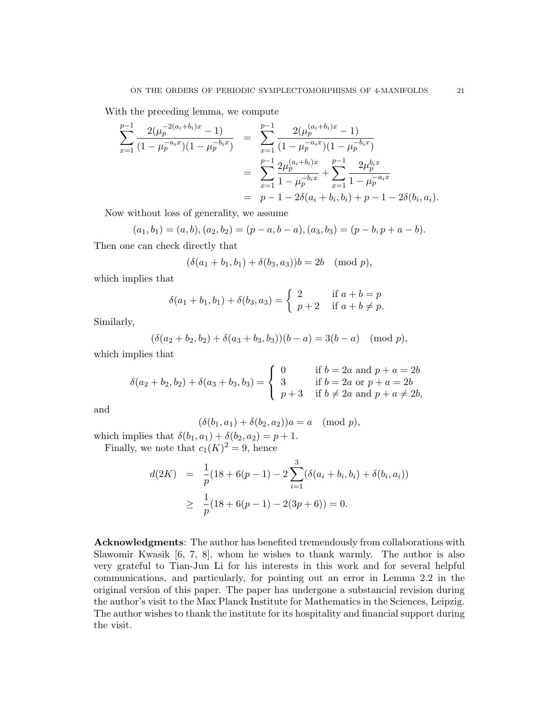With the preceding lemma, we compute

$$
\sum_{x=1}^{p-1} \frac{2(\mu_p^{-2(a_i+b_i)x} - 1)}{(1 - \mu_p^{-a_ix})(1 - \mu_p^{-b_ix})} = \sum_{x=1}^{p-1} \frac{2(\mu_p^{(a_i+b_i)x} - 1)}{(1 - \mu_p^{-a_ix})(1 - \mu_p^{-b_ix})}
$$

$$
= \sum_{x=1}^{p-1} \frac{2\mu_p^{(a_i+b_i)x}}{1 - \mu_p^{-b_ix}} + \sum_{x=1}^{p-1} \frac{2\mu_p^{b_ix}}{1 - \mu_p^{-a_ix}}
$$

$$
= p - 1 - 2\delta(a_i + b_i, b_i) + p - 1 - 2\delta(b_i, a_i).
$$

Now without loss of generality, we assume

$$
(a_1, b_1) = (a, b), (a_2, b_2) = (p - a, b - a), (a_3, b_3) = (p - b, p + a - b).
$$

Then one can check directly that

$$
(\delta(a_1 + b_1, b_1) + \delta(b_3, a_3))b = 2b \pmod{p},
$$

which implies that

$$
\delta(a_1 + b_1, b_1) + \delta(b_3, a_3) = \begin{cases} 2 & \text{if } a + b = p \\ p + 2 & \text{if } a + b \neq p. \end{cases}
$$

Similarly,

$$
(\delta(a_2+b_2,b_2)+\delta(a_3+b_3,b_3))(b-a)=3(b-a) \pmod{p},
$$

which implies that

$$
\delta(a_2 + b_2, b_2) + \delta(a_3 + b_3, b_3) = \begin{cases} 0 & \text{if } b = 2a \text{ and } p + a = 2b \\ 3 & \text{if } b = 2a \text{ or } p + a = 2b \\ p + 3 & \text{if } b \neq 2a \text{ and } p + a \neq 2b, \end{cases}
$$

and

$$
(\delta(b_1, a_1) + \delta(b_2, a_2))a = a \pmod{p},
$$

which implies that  $\delta(b_1, a_1) + \delta(b_2, a_2) = p + 1$ . Finally, we note that  $c_1(K)^2 = 9$ , hence

$$
d(2K) = \frac{1}{p}(18 + 6(p-1) - 2\sum_{i=1}^{3}(\delta(a_i + b_i, b_i) + \delta(b_i, a_i))
$$
  
 
$$
\geq \frac{1}{p}(18 + 6(p-1) - 2(3p + 6)) = 0.
$$

Acknowledgments: The author has benefited tremendously from collaborations with Slawomir Kwasik [6, 7, 8], whom he wishes to thank warmly. The author is also very grateful to Tian-Jun Li for his interests in this work and for several helpful communications, and particularly, for pointing out an error in Lemma 2.2 in the original version of this paper. The paper has undergone a substancial revision during the author's visit to the Max Planck Institute for Mathematics in the Sciences, Leipzig. The author wishes to thank the institute for its hospitality and financial support during the visit.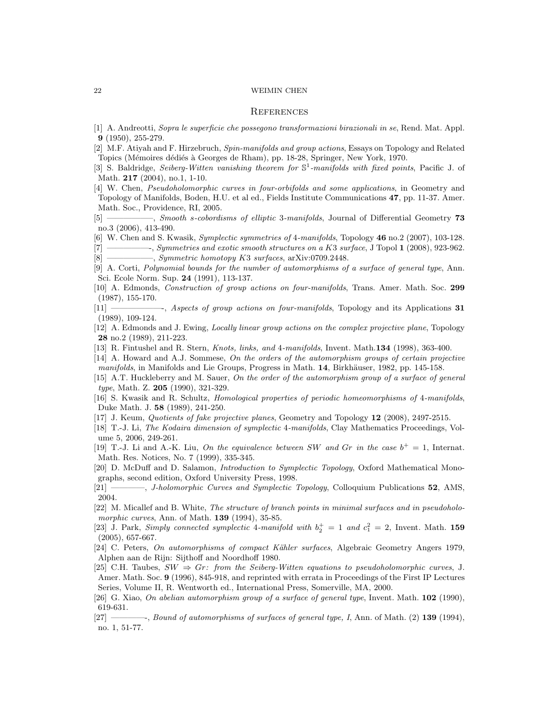#### **REFERENCES**

- [1] A. Andreotti, Sopra le superficie che possegono transformazioni birazionali in se, Rend. Mat. Appl. 9 (1950), 255-279.
- [2] M.F. Atiyah and F. Hirzebruch, Spin-manifolds and group actions, Essays on Topology and Related Topics (Mémoires dédiés à Georges de Rham), pp. 18-28, Springer, New York, 1970.
- [3] S. Baldridge, Seiberg-Witten vanishing theorem for  $\mathbb{S}^1$ -manifolds with fixed points, Pacific J. of Math. 217 (2004), no.1, 1-10.
- [4] W. Chen, Pseudoholomorphic curves in four-orbifolds and some applications, in Geometry and Topology of Manifolds, Boden, H.U. et al ed., Fields Institute Communications 47, pp. 11-37. Amer. Math. Soc., Providence, RI, 2005.

[5] —————, Smooth s-cobordisms of elliptic 3-manifolds, Journal of Differential Geometry 73 no.3 (2006), 413-490.

[6] W. Chen and S. Kwasik, Symplectic symmetries of 4-manifolds, Topology 46 no.2 (2007), 103-128.

[7] —————-, Symmetries and exotic smooth structures on a K3 surface, J Topol 1 (2008), 923-962.

 $[8] \longrightarrow$ , Symmetric homotopy K3 surfaces, arXiv:0709.2448.

- [9] A. Corti, Polynomial bounds for the number of automorphisms of a surface of general type, Ann. Sci. Ecole Norm. Sup. 24 (1991), 113-137.
- [10] A. Edmonds, Construction of group actions on four-manifolds, Trans. Amer. Math. Soc. 299 (1987), 155-170.
- [11] ——————-, Aspects of group actions on four-manifolds, Topology and its Applications 31 (1989), 109-124.
- [12] A. Edmonds and J. Ewing, Locally linear group actions on the complex projective plane, Topology 28 no.2 (1989), 211-223.
- [13] R. Fintushel and R. Stern, *Knots, links, and 4-manifolds*, Invent. Math.134 (1998), 363-400.
- [14] A. Howard and A.J. Sommese, On the orders of the automorphism groups of certain projective manifolds, in Manifolds and Lie Groups, Progress in Math. 14, Birkhäuser, 1982, pp. 145-158.
- [15] A.T. Huckleberry and M. Sauer, On the order of the automorphism group of a surface of general type, Math. Z. 205 (1990), 321-329.
- [16] S. Kwasik and R. Schultz, Homological properties of periodic homeomorphisms of 4-manifolds, Duke Math. J. 58 (1989), 241-250.
- [17] J. Keum, Quotients of fake projective planes, Geometry and Topology 12 (2008), 2497-2515.
- [18] T.-J. Li, The Kodaira dimension of symplectic 4-manifolds, Clay Mathematics Proceedings, Volume 5, 2006, 249-261.
- [19] T.-J. Li and A.-K. Liu, On the equivalence between SW and Gr in the case  $b^+ = 1$ , Internat. Math. Res. Notices, No. 7 (1999), 335-345.
- [20] D. McDuff and D. Salamon, Introduction to Symplectic Topology, Oxford Mathematical Monographs, second edition, Oxford University Press, 1998.
- [21] ———, *J-holomorphic Curves and Symplectic Topology*, Colloquium Publications 52, AMS, 2004.
- [22] M. Micallef and B. White, The structure of branch points in minimal surfaces and in pseudoholomorphic curves, Ann. of Math. **139** (1994), 35-85.
- [23] J. Park, Simply connected symplectic 4-manifold with  $b_2^+=1$  and  $c_1^2=2$ , Invent. Math. 159 (2005), 657-667.
- [24] C. Peters, On automorphisms of compact Kähler surfaces, Algebraic Geometry Angers 1979, Alphen aan de Rijn: Sijthoff and Noordhoff 1980.
- [25] C.H. Taubes,  $SW \Rightarrow Gr: from the Seiberg-Witten equations to pseudoholomorphic curves, J.$ Amer. Math. Soc. 9 (1996), 845-918, and reprinted with errata in Proceedings of the First IP Lectures Series, Volume II, R. Wentworth ed., International Press, Somerville, MA, 2000.
- [26] G. Xiao, On abelian automorphism group of a surface of general type, Invent. Math. 102 (1990), 619-631.
- [27] ————-, Bound of automorphisms of surfaces of general type, I, Ann. of Math. (2) 139 (1994), no. 1, 51-77.